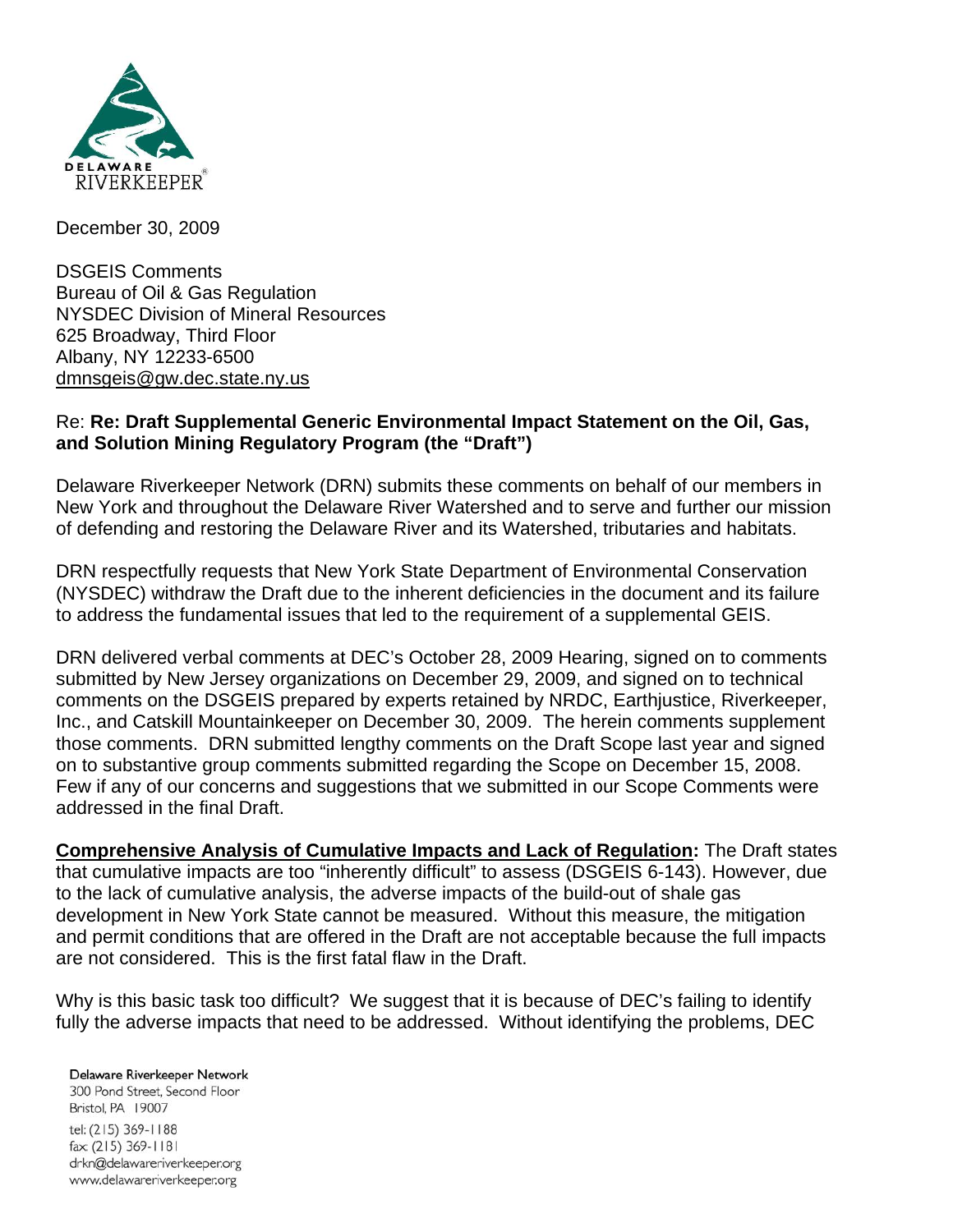

December 30, 2009

DSGEIS Comments Bureau of Oil & Gas Regulation NYSDEC Division of Mineral Resources 625 Broadway, Third Floor Albany, NY 12233-6500 dmnsgeis@gw.dec.state.ny.us

#### Re: **Re: Draft Supplemental Generic Environmental Impact Statement on the Oil, Gas, and Solution Mining Regulatory Program (the "Draft")**

Delaware Riverkeeper Network (DRN) submits these comments on behalf of our members in New York and throughout the Delaware River Watershed and to serve and further our mission of defending and restoring the Delaware River and its Watershed, tributaries and habitats.

DRN respectfully requests that New York State Department of Environmental Conservation (NYSDEC) withdraw the Draft due to the inherent deficiencies in the document and its failure to address the fundamental issues that led to the requirement of a supplemental GEIS.

DRN delivered verbal comments at DEC's October 28, 2009 Hearing, signed on to comments submitted by New Jersey organizations on December 29, 2009, and signed on to technical comments on the DSGEIS prepared by experts retained by NRDC, Earthjustice, Riverkeeper, Inc., and Catskill Mountainkeeper on December 30, 2009. The herein comments supplement those comments. DRN submitted lengthy comments on the Draft Scope last year and signed on to substantive group comments submitted regarding the Scope on December 15, 2008. Few if any of our concerns and suggestions that we submitted in our Scope Comments were addressed in the final Draft.

**Comprehensive Analysis of Cumulative Impacts and Lack of Regulation:** The Draft states that cumulative impacts are too "inherently difficult" to assess (DSGEIS 6-143). However, due to the lack of cumulative analysis, the adverse impacts of the build-out of shale gas development in New York State cannot be measured. Without this measure, the mitigation and permit conditions that are offered in the Draft are not acceptable because the full impacts are not considered. This is the first fatal flaw in the Draft.

Why is this basic task too difficult? We suggest that it is because of DEC's failing to identify fully the adverse impacts that need to be addressed. Without identifying the problems, DEC

Delaware Riverkeeper Network 300 Pond Street, Second Floor Bristol, PA 19007 tel: (215) 369-1188 fax: (215) 369-1181 drkn@delawareriverkeeper.org www.delawareriverkeeper.org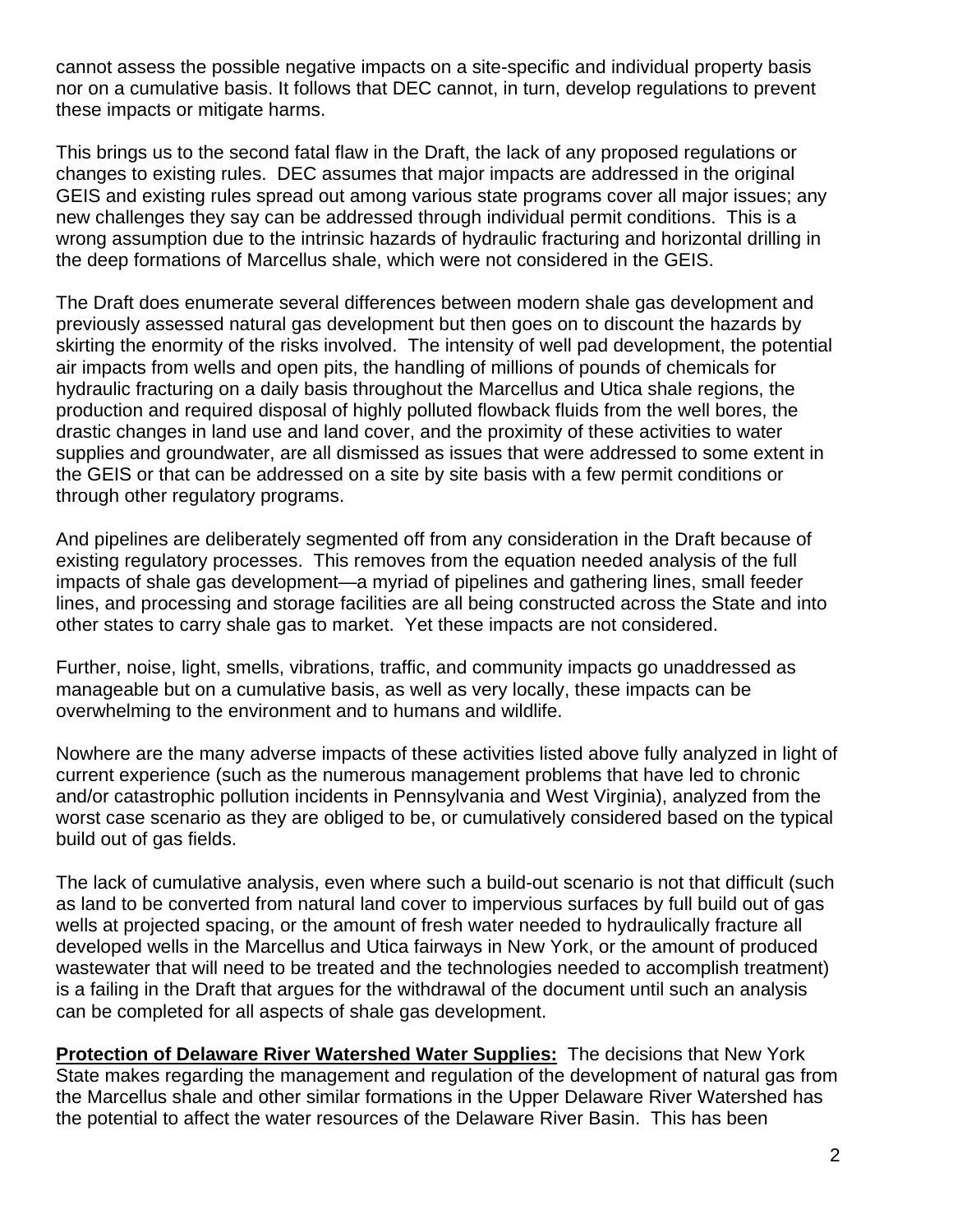cannot assess the possible negative impacts on a site-specific and individual property basis nor on a cumulative basis. It follows that DEC cannot, in turn, develop regulations to prevent these impacts or mitigate harms.

This brings us to the second fatal flaw in the Draft, the lack of any proposed regulations or changes to existing rules. DEC assumes that major impacts are addressed in the original GEIS and existing rules spread out among various state programs cover all major issues; any new challenges they say can be addressed through individual permit conditions. This is a wrong assumption due to the intrinsic hazards of hydraulic fracturing and horizontal drilling in the deep formations of Marcellus shale, which were not considered in the GEIS.

The Draft does enumerate several differences between modern shale gas development and previously assessed natural gas development but then goes on to discount the hazards by skirting the enormity of the risks involved. The intensity of well pad development, the potential air impacts from wells and open pits, the handling of millions of pounds of chemicals for hydraulic fracturing on a daily basis throughout the Marcellus and Utica shale regions, the production and required disposal of highly polluted flowback fluids from the well bores, the drastic changes in land use and land cover, and the proximity of these activities to water supplies and groundwater, are all dismissed as issues that were addressed to some extent in the GEIS or that can be addressed on a site by site basis with a few permit conditions or through other regulatory programs.

And pipelines are deliberately segmented off from any consideration in the Draft because of existing regulatory processes. This removes from the equation needed analysis of the full impacts of shale gas development—a myriad of pipelines and gathering lines, small feeder lines, and processing and storage facilities are all being constructed across the State and into other states to carry shale gas to market. Yet these impacts are not considered.

Further, noise, light, smells, vibrations, traffic, and community impacts go unaddressed as manageable but on a cumulative basis, as well as very locally, these impacts can be overwhelming to the environment and to humans and wildlife.

Nowhere are the many adverse impacts of these activities listed above fully analyzed in light of current experience (such as the numerous management problems that have led to chronic and/or catastrophic pollution incidents in Pennsylvania and West Virginia), analyzed from the worst case scenario as they are obliged to be, or cumulatively considered based on the typical build out of gas fields.

The lack of cumulative analysis, even where such a build-out scenario is not that difficult (such as land to be converted from natural land cover to impervious surfaces by full build out of gas wells at projected spacing, or the amount of fresh water needed to hydraulically fracture all developed wells in the Marcellus and Utica fairways in New York, or the amount of produced wastewater that will need to be treated and the technologies needed to accomplish treatment) is a failing in the Draft that argues for the withdrawal of the document until such an analysis can be completed for all aspects of shale gas development.

**Protection of Delaware River Watershed Water Supplies:** The decisions that New York State makes regarding the management and regulation of the development of natural gas from the Marcellus shale and other similar formations in the Upper Delaware River Watershed has the potential to affect the water resources of the Delaware River Basin. This has been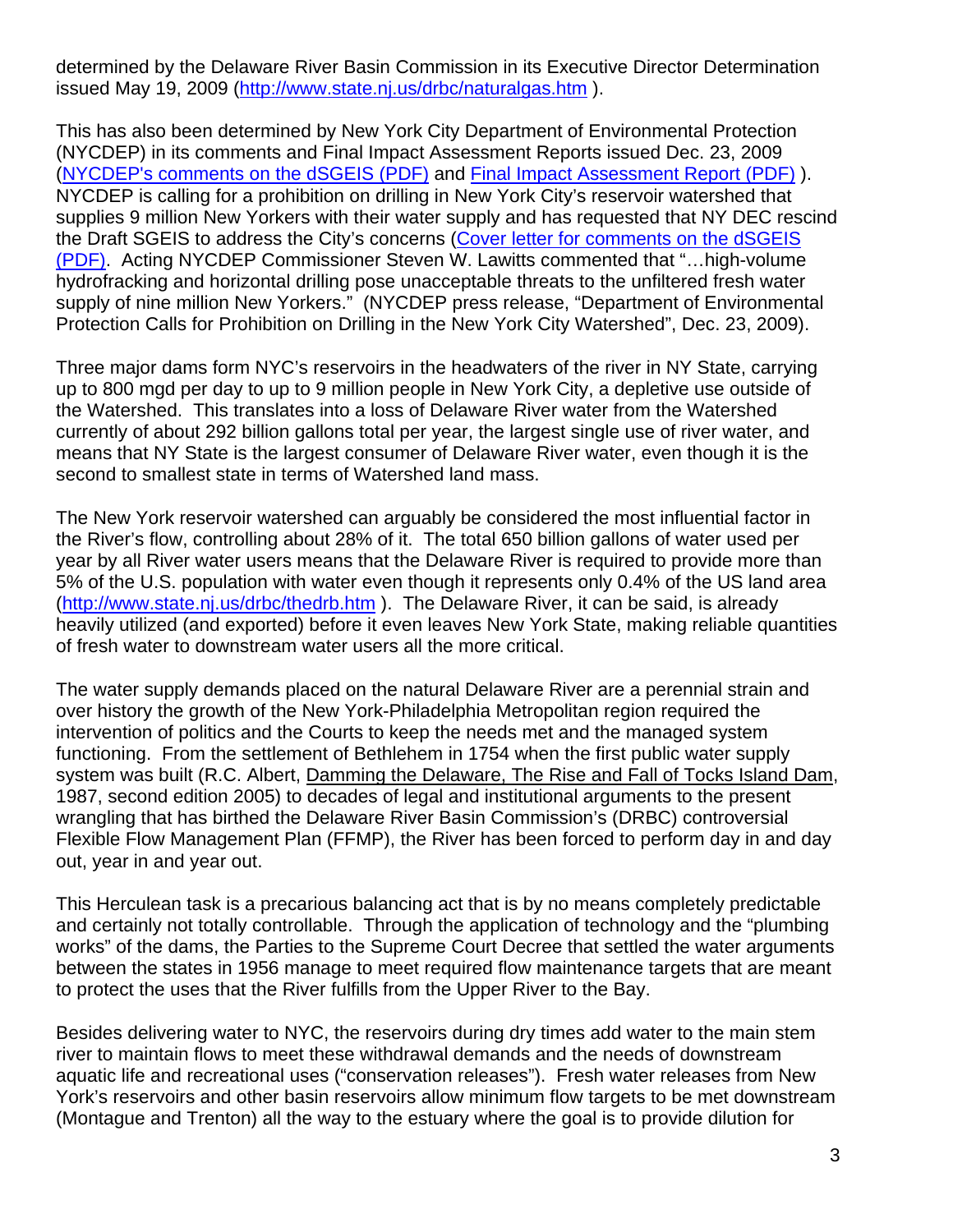determined by the Delaware River Basin Commission in its Executive Director Determination issued May 19, 2009 (http://www.state.nj.us/drbc/naturalgas.htm ).

This has also been determined by New York City Department of Environmental Protection (NYCDEP) in its comments and Final Impact Assessment Reports issued Dec. 23, 2009 (NYCDEP's comments on the dSGEIS (PDF) and Final Impact Assessment Report (PDF) ). NYCDEP is calling for a prohibition on drilling in New York City's reservoir watershed that supplies 9 million New Yorkers with their water supply and has requested that NY DEC rescind the Draft SGEIS to address the City's concerns (Cover letter for comments on the dSGEIS (PDF). Acting NYCDEP Commissioner Steven W. Lawitts commented that "…high-volume hydrofracking and horizontal drilling pose unacceptable threats to the unfiltered fresh water supply of nine million New Yorkers." (NYCDEP press release, "Department of Environmental Protection Calls for Prohibition on Drilling in the New York City Watershed", Dec. 23, 2009).

Three major dams form NYC's reservoirs in the headwaters of the river in NY State, carrying up to 800 mgd per day to up to 9 million people in New York City, a depletive use outside of the Watershed. This translates into a loss of Delaware River water from the Watershed currently of about 292 billion gallons total per year, the largest single use of river water, and means that NY State is the largest consumer of Delaware River water, even though it is the second to smallest state in terms of Watershed land mass.

The New York reservoir watershed can arguably be considered the most influential factor in the River's flow, controlling about 28% of it. The total 650 billion gallons of water used per year by all River water users means that the Delaware River is required to provide more than 5% of the U.S. population with water even though it represents only 0.4% of the US land area (http://www.state.nj.us/drbc/thedrb.htm ). The Delaware River, it can be said, is already heavily utilized (and exported) before it even leaves New York State, making reliable quantities of fresh water to downstream water users all the more critical.

The water supply demands placed on the natural Delaware River are a perennial strain and over history the growth of the New York-Philadelphia Metropolitan region required the intervention of politics and the Courts to keep the needs met and the managed system functioning. From the settlement of Bethlehem in 1754 when the first public water supply system was built (R.C. Albert, Damming the Delaware, The Rise and Fall of Tocks Island Dam, 1987, second edition 2005) to decades of legal and institutional arguments to the present wrangling that has birthed the Delaware River Basin Commission's (DRBC) controversial Flexible Flow Management Plan (FFMP), the River has been forced to perform day in and day out, year in and year out.

This Herculean task is a precarious balancing act that is by no means completely predictable and certainly not totally controllable. Through the application of technology and the "plumbing works" of the dams, the Parties to the Supreme Court Decree that settled the water arguments between the states in 1956 manage to meet required flow maintenance targets that are meant to protect the uses that the River fulfills from the Upper River to the Bay.

Besides delivering water to NYC, the reservoirs during dry times add water to the main stem river to maintain flows to meet these withdrawal demands and the needs of downstream aquatic life and recreational uses ("conservation releases"). Fresh water releases from New York's reservoirs and other basin reservoirs allow minimum flow targets to be met downstream (Montague and Trenton) all the way to the estuary where the goal is to provide dilution for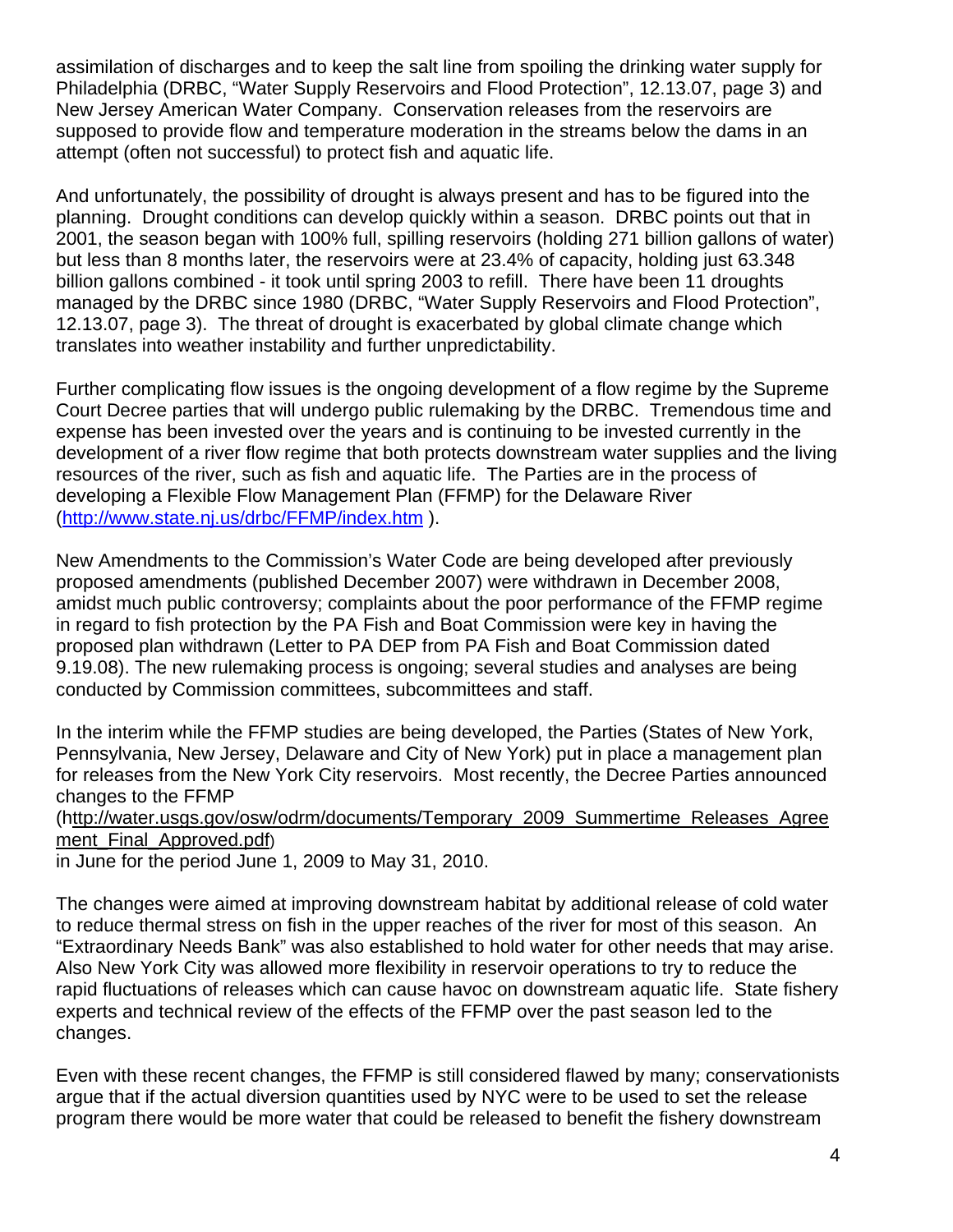assimilation of discharges and to keep the salt line from spoiling the drinking water supply for Philadelphia (DRBC, "Water Supply Reservoirs and Flood Protection", 12.13.07, page 3) and New Jersey American Water Company. Conservation releases from the reservoirs are supposed to provide flow and temperature moderation in the streams below the dams in an attempt (often not successful) to protect fish and aquatic life.

And unfortunately, the possibility of drought is always present and has to be figured into the planning. Drought conditions can develop quickly within a season. DRBC points out that in 2001, the season began with 100% full, spilling reservoirs (holding 271 billion gallons of water) but less than 8 months later, the reservoirs were at 23.4% of capacity, holding just 63.348 billion gallons combined - it took until spring 2003 to refill. There have been 11 droughts managed by the DRBC since 1980 (DRBC, "Water Supply Reservoirs and Flood Protection", 12.13.07, page 3). The threat of drought is exacerbated by global climate change which translates into weather instability and further unpredictability.

Further complicating flow issues is the ongoing development of a flow regime by the Supreme Court Decree parties that will undergo public rulemaking by the DRBC. Tremendous time and expense has been invested over the years and is continuing to be invested currently in the development of a river flow regime that both protects downstream water supplies and the living resources of the river, such as fish and aquatic life. The Parties are in the process of developing a Flexible Flow Management Plan (FFMP) for the Delaware River (http://www.state.nj.us/drbc/FFMP/index.htm ).

New Amendments to the Commission's Water Code are being developed after previously proposed amendments (published December 2007) were withdrawn in December 2008, amidst much public controversy; complaints about the poor performance of the FFMP regime in regard to fish protection by the PA Fish and Boat Commission were key in having the proposed plan withdrawn (Letter to PA DEP from PA Fish and Boat Commission dated 9.19.08). The new rulemaking process is ongoing; several studies and analyses are being conducted by Commission committees, subcommittees and staff.

In the interim while the FFMP studies are being developed, the Parties (States of New York, Pennsylvania, New Jersey, Delaware and City of New York) put in place a management plan for releases from the New York City reservoirs. Most recently, the Decree Parties announced changes to the FFMP

#### (http://water.usgs.gov/osw/odrm/documents/Temporary\_2009\_Summertime\_Releases\_Agree ment Final Approved.pdf)

in June for the period June 1, 2009 to May 31, 2010.

The changes were aimed at improving downstream habitat by additional release of cold water to reduce thermal stress on fish in the upper reaches of the river for most of this season. An "Extraordinary Needs Bank" was also established to hold water for other needs that may arise. Also New York City was allowed more flexibility in reservoir operations to try to reduce the rapid fluctuations of releases which can cause havoc on downstream aquatic life. State fishery experts and technical review of the effects of the FFMP over the past season led to the changes.

Even with these recent changes, the FFMP is still considered flawed by many; conservationists argue that if the actual diversion quantities used by NYC were to be used to set the release program there would be more water that could be released to benefit the fishery downstream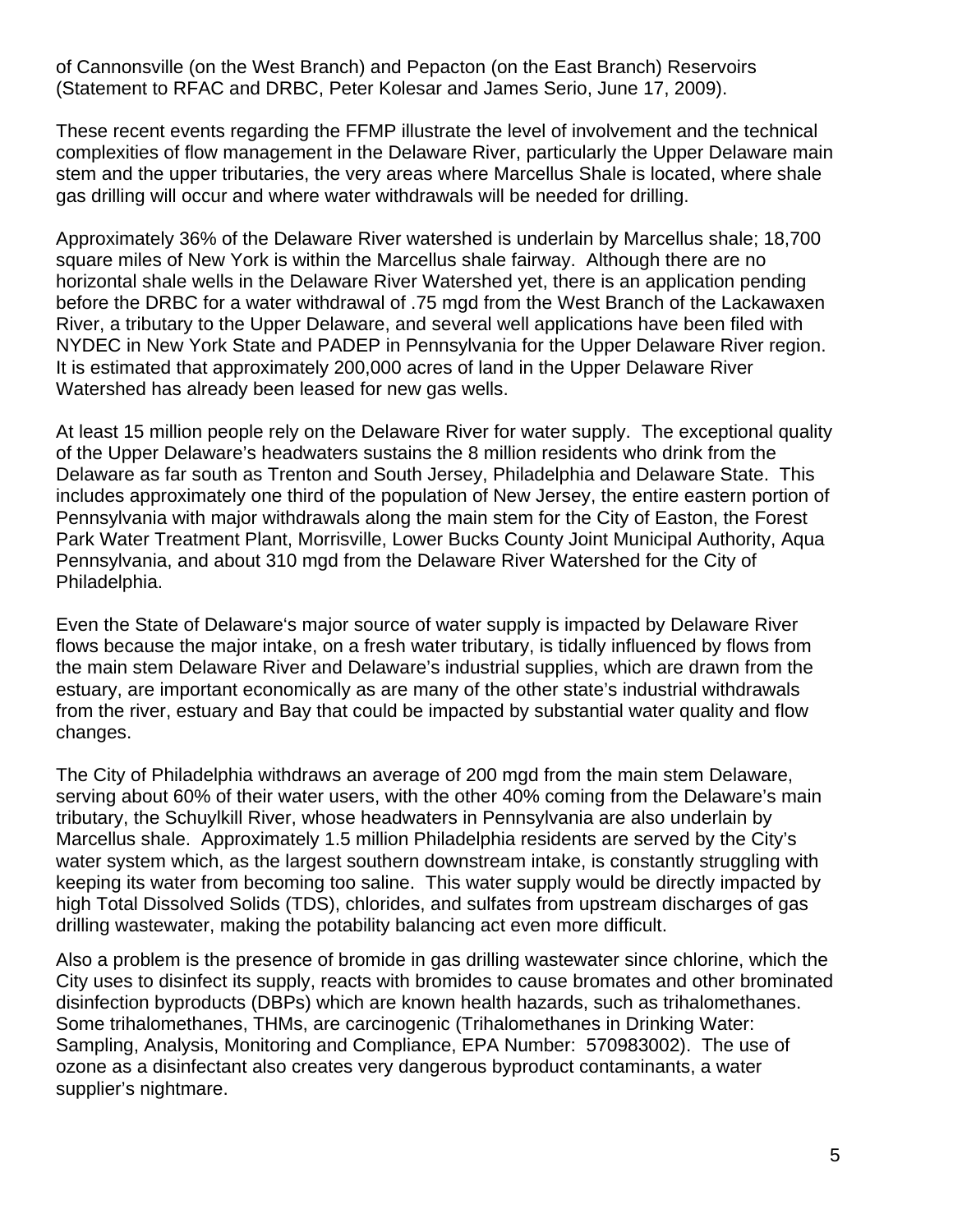of Cannonsville (on the West Branch) and Pepacton (on the East Branch) Reservoirs (Statement to RFAC and DRBC, Peter Kolesar and James Serio, June 17, 2009).

These recent events regarding the FFMP illustrate the level of involvement and the technical complexities of flow management in the Delaware River, particularly the Upper Delaware main stem and the upper tributaries, the very areas where Marcellus Shale is located, where shale gas drilling will occur and where water withdrawals will be needed for drilling.

Approximately 36% of the Delaware River watershed is underlain by Marcellus shale; 18,700 square miles of New York is within the Marcellus shale fairway. Although there are no horizontal shale wells in the Delaware River Watershed yet, there is an application pending before the DRBC for a water withdrawal of .75 mgd from the West Branch of the Lackawaxen River, a tributary to the Upper Delaware, and several well applications have been filed with NYDEC in New York State and PADEP in Pennsylvania for the Upper Delaware River region. It is estimated that approximately 200,000 acres of land in the Upper Delaware River Watershed has already been leased for new gas wells.

At least 15 million people rely on the Delaware River for water supply. The exceptional quality of the Upper Delaware's headwaters sustains the 8 million residents who drink from the Delaware as far south as Trenton and South Jersey, Philadelphia and Delaware State. This includes approximately one third of the population of New Jersey, the entire eastern portion of Pennsylvania with major withdrawals along the main stem for the City of Easton, the Forest Park Water Treatment Plant, Morrisville, Lower Bucks County Joint Municipal Authority, Aqua Pennsylvania, and about 310 mgd from the Delaware River Watershed for the City of Philadelphia.

Even the State of Delaware's major source of water supply is impacted by Delaware River flows because the major intake, on a fresh water tributary, is tidally influenced by flows from the main stem Delaware River and Delaware's industrial supplies, which are drawn from the estuary, are important economically as are many of the other state's industrial withdrawals from the river, estuary and Bay that could be impacted by substantial water quality and flow changes.

The City of Philadelphia withdraws an average of 200 mgd from the main stem Delaware, serving about 60% of their water users, with the other 40% coming from the Delaware's main tributary, the Schuylkill River, whose headwaters in Pennsylvania are also underlain by Marcellus shale. Approximately 1.5 million Philadelphia residents are served by the City's water system which, as the largest southern downstream intake, is constantly struggling with keeping its water from becoming too saline. This water supply would be directly impacted by high Total Dissolved Solids (TDS), chlorides, and sulfates from upstream discharges of gas drilling wastewater, making the potability balancing act even more difficult.

Also a problem is the presence of bromide in gas drilling wastewater since chlorine, which the City uses to disinfect its supply, reacts with bromides to cause bromates and other brominated disinfection byproducts (DBPs) which are known health hazards, such as trihalomethanes. Some trihalomethanes, THMs, are carcinogenic (Trihalomethanes in Drinking Water: Sampling, Analysis, Monitoring and Compliance, EPA Number: 570983002). The use of ozone as a disinfectant also creates very dangerous byproduct contaminants, a water supplier's nightmare.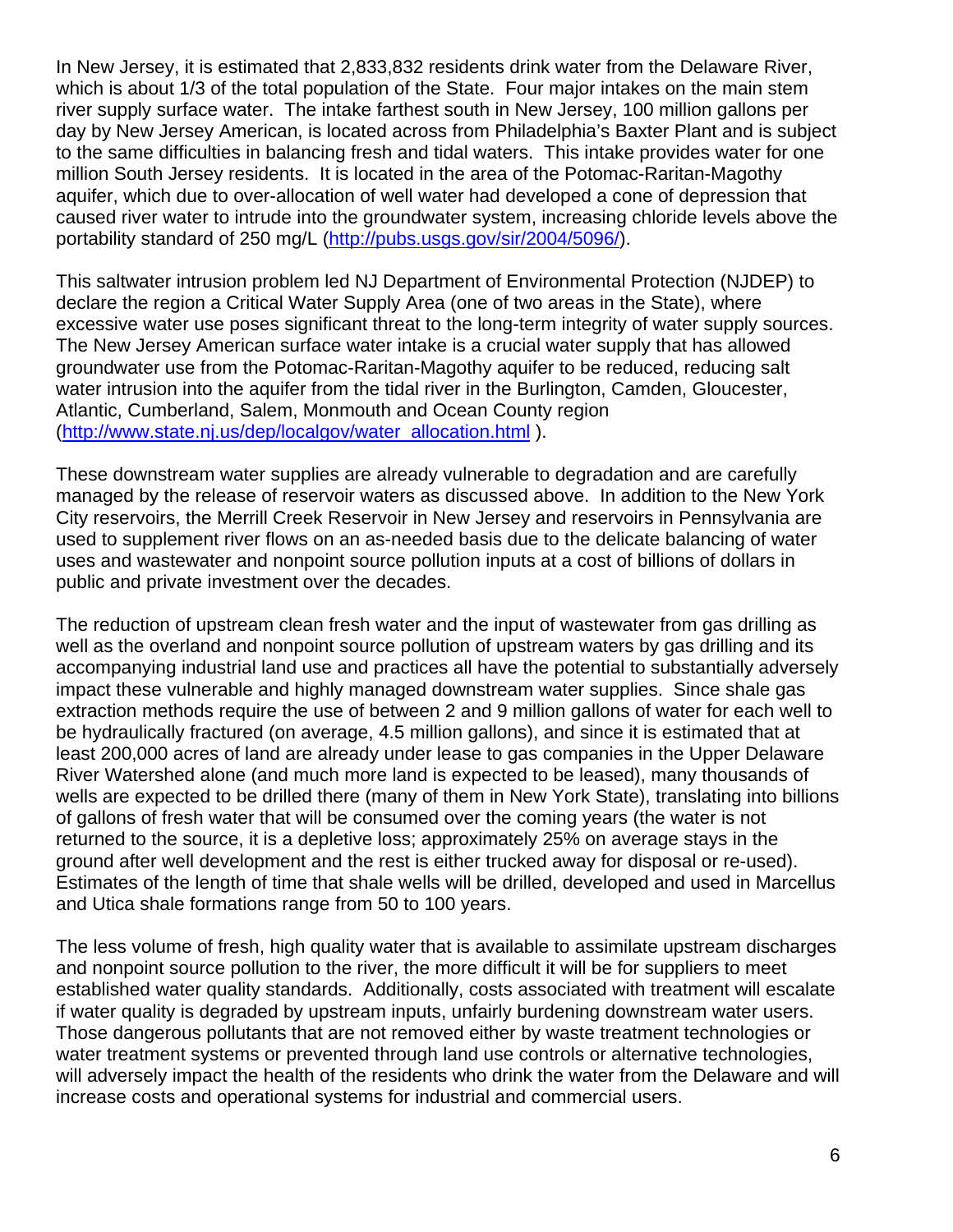In New Jersey, it is estimated that 2,833,832 residents drink water from the Delaware River, which is about 1/3 of the total population of the State. Four major intakes on the main stem river supply surface water. The intake farthest south in New Jersey, 100 million gallons per day by New Jersey American, is located across from Philadelphia's Baxter Plant and is subject to the same difficulties in balancing fresh and tidal waters. This intake provides water for one million South Jersey residents. It is located in the area of the Potomac-Raritan-Magothy aquifer, which due to over-allocation of well water had developed a cone of depression that caused river water to intrude into the groundwater system, increasing chloride levels above the portability standard of 250 mg/L (http://pubs.usgs.gov/sir/2004/5096/).

This saltwater intrusion problem led NJ Department of Environmental Protection (NJDEP) to declare the region a Critical Water Supply Area (one of two areas in the State), where excessive water use poses significant threat to the long-term integrity of water supply sources. The New Jersey American surface water intake is a crucial water supply that has allowed groundwater use from the Potomac-Raritan-Magothy aquifer to be reduced, reducing salt water intrusion into the aquifer from the tidal river in the Burlington, Camden, Gloucester, Atlantic, Cumberland, Salem, Monmouth and Ocean County region (http://www.state.nj.us/dep/localgov/water\_allocation.html ).

These downstream water supplies are already vulnerable to degradation and are carefully managed by the release of reservoir waters as discussed above. In addition to the New York City reservoirs, the Merrill Creek Reservoir in New Jersey and reservoirs in Pennsylvania are used to supplement river flows on an as-needed basis due to the delicate balancing of water uses and wastewater and nonpoint source pollution inputs at a cost of billions of dollars in public and private investment over the decades.

The reduction of upstream clean fresh water and the input of wastewater from gas drilling as well as the overland and nonpoint source pollution of upstream waters by gas drilling and its accompanying industrial land use and practices all have the potential to substantially adversely impact these vulnerable and highly managed downstream water supplies. Since shale gas extraction methods require the use of between 2 and 9 million gallons of water for each well to be hydraulically fractured (on average, 4.5 million gallons), and since it is estimated that at least 200,000 acres of land are already under lease to gas companies in the Upper Delaware River Watershed alone (and much more land is expected to be leased), many thousands of wells are expected to be drilled there (many of them in New York State), translating into billions of gallons of fresh water that will be consumed over the coming years (the water is not returned to the source, it is a depletive loss; approximately 25% on average stays in the ground after well development and the rest is either trucked away for disposal or re-used). Estimates of the length of time that shale wells will be drilled, developed and used in Marcellus and Utica shale formations range from 50 to 100 years.

The less volume of fresh, high quality water that is available to assimilate upstream discharges and nonpoint source pollution to the river, the more difficult it will be for suppliers to meet established water quality standards. Additionally, costs associated with treatment will escalate if water quality is degraded by upstream inputs, unfairly burdening downstream water users. Those dangerous pollutants that are not removed either by waste treatment technologies or water treatment systems or prevented through land use controls or alternative technologies, will adversely impact the health of the residents who drink the water from the Delaware and will increase costs and operational systems for industrial and commercial users.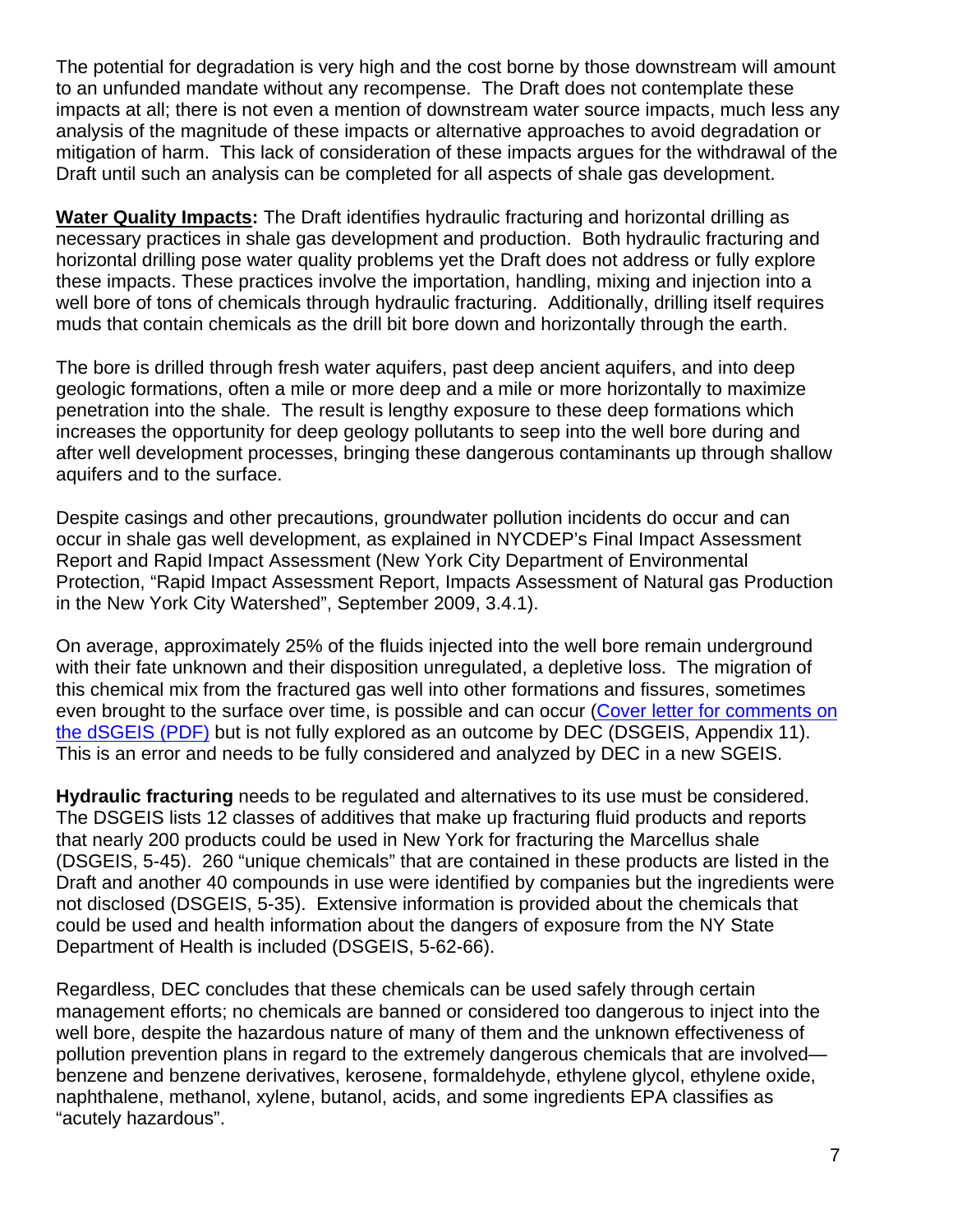The potential for degradation is very high and the cost borne by those downstream will amount to an unfunded mandate without any recompense. The Draft does not contemplate these impacts at all; there is not even a mention of downstream water source impacts, much less any analysis of the magnitude of these impacts or alternative approaches to avoid degradation or mitigation of harm. This lack of consideration of these impacts argues for the withdrawal of the Draft until such an analysis can be completed for all aspects of shale gas development.

**Water Quality Impacts:** The Draft identifies hydraulic fracturing and horizontal drilling as necessary practices in shale gas development and production. Both hydraulic fracturing and horizontal drilling pose water quality problems yet the Draft does not address or fully explore these impacts. These practices involve the importation, handling, mixing and injection into a well bore of tons of chemicals through hydraulic fracturing. Additionally, drilling itself requires muds that contain chemicals as the drill bit bore down and horizontally through the earth.

The bore is drilled through fresh water aquifers, past deep ancient aquifers, and into deep geologic formations, often a mile or more deep and a mile or more horizontally to maximize penetration into the shale. The result is lengthy exposure to these deep formations which increases the opportunity for deep geology pollutants to seep into the well bore during and after well development processes, bringing these dangerous contaminants up through shallow aquifers and to the surface.

Despite casings and other precautions, groundwater pollution incidents do occur and can occur in shale gas well development, as explained in NYCDEP's Final Impact Assessment Report and Rapid Impact Assessment (New York City Department of Environmental Protection, "Rapid Impact Assessment Report, Impacts Assessment of Natural gas Production in the New York City Watershed", September 2009, 3.4.1).

On average, approximately 25% of the fluids injected into the well bore remain underground with their fate unknown and their disposition unregulated, a depletive loss. The migration of this chemical mix from the fractured gas well into other formations and fissures, sometimes even brought to the surface over time, is possible and can occur (Cover letter for comments on the dSGEIS (PDF) but is not fully explored as an outcome by DEC (DSGEIS, Appendix 11). This is an error and needs to be fully considered and analyzed by DEC in a new SGEIS.

**Hydraulic fracturing** needs to be regulated and alternatives to its use must be considered. The DSGEIS lists 12 classes of additives that make up fracturing fluid products and reports that nearly 200 products could be used in New York for fracturing the Marcellus shale (DSGEIS, 5-45). 260 "unique chemicals" that are contained in these products are listed in the Draft and another 40 compounds in use were identified by companies but the ingredients were not disclosed (DSGEIS, 5-35). Extensive information is provided about the chemicals that could be used and health information about the dangers of exposure from the NY State Department of Health is included (DSGEIS, 5-62-66).

Regardless, DEC concludes that these chemicals can be used safely through certain management efforts; no chemicals are banned or considered too dangerous to inject into the well bore, despite the hazardous nature of many of them and the unknown effectiveness of pollution prevention plans in regard to the extremely dangerous chemicals that are involved benzene and benzene derivatives, kerosene, formaldehyde, ethylene glycol, ethylene oxide, naphthalene, methanol, xylene, butanol, acids, and some ingredients EPA classifies as "acutely hazardous".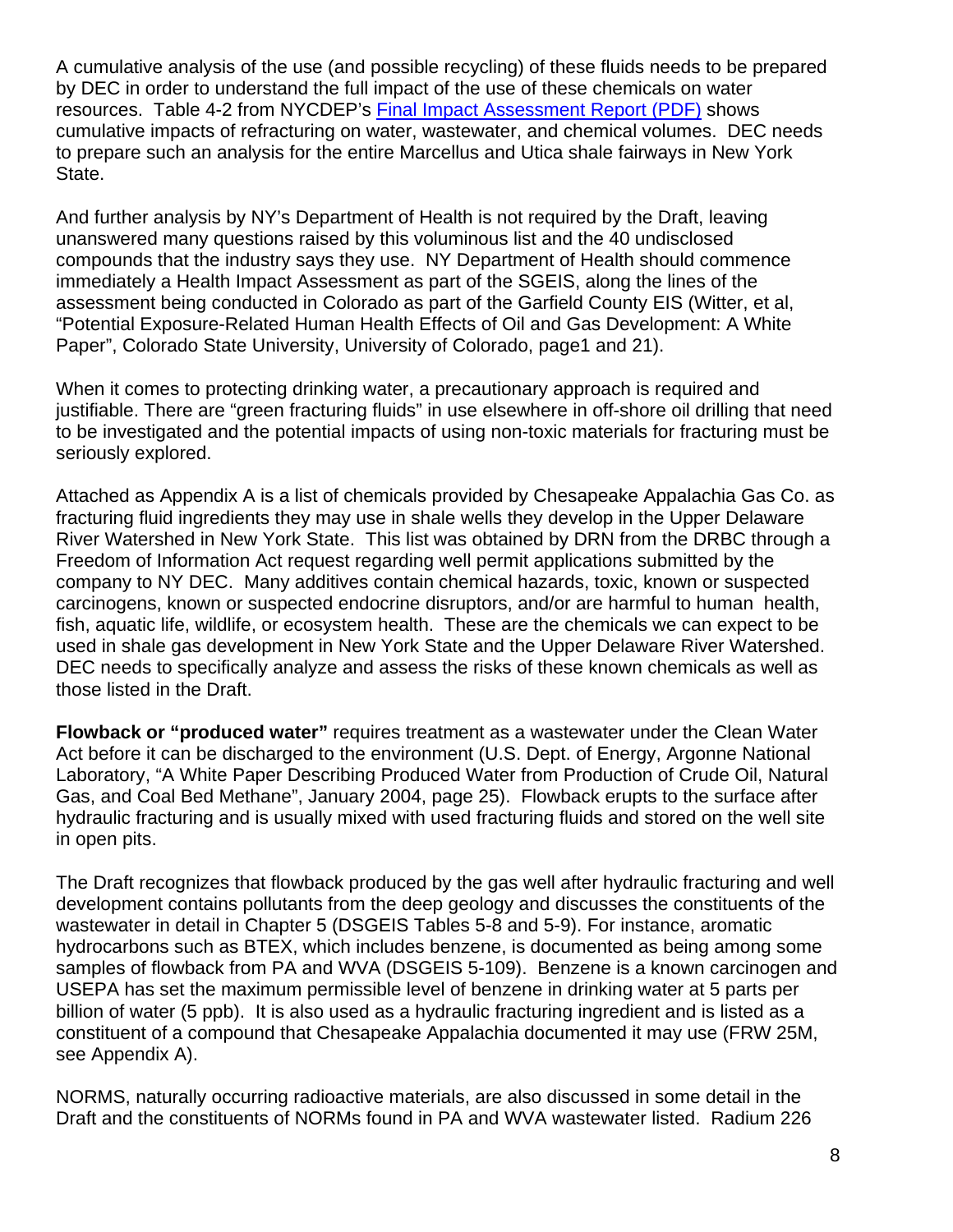A cumulative analysis of the use (and possible recycling) of these fluids needs to be prepared by DEC in order to understand the full impact of the use of these chemicals on water resources. Table 4-2 from NYCDEP's Final Impact Assessment Report (PDF) shows cumulative impacts of refracturing on water, wastewater, and chemical volumes. DEC needs to prepare such an analysis for the entire Marcellus and Utica shale fairways in New York State.

And further analysis by NY's Department of Health is not required by the Draft, leaving unanswered many questions raised by this voluminous list and the 40 undisclosed compounds that the industry says they use. NY Department of Health should commence immediately a Health Impact Assessment as part of the SGEIS, along the lines of the assessment being conducted in Colorado as part of the Garfield County EIS (Witter, et al, "Potential Exposure-Related Human Health Effects of Oil and Gas Development: A White Paper", Colorado State University, University of Colorado, page1 and 21).

When it comes to protecting drinking water, a precautionary approach is required and justifiable. There are "green fracturing fluids" in use elsewhere in off-shore oil drilling that need to be investigated and the potential impacts of using non-toxic materials for fracturing must be seriously explored.

Attached as Appendix A is a list of chemicals provided by Chesapeake Appalachia Gas Co. as fracturing fluid ingredients they may use in shale wells they develop in the Upper Delaware River Watershed in New York State. This list was obtained by DRN from the DRBC through a Freedom of Information Act request regarding well permit applications submitted by the company to NY DEC. Many additives contain chemical hazards, toxic, known or suspected carcinogens, known or suspected endocrine disruptors, and/or are harmful to human health, fish, aquatic life, wildlife, or ecosystem health. These are the chemicals we can expect to be used in shale gas development in New York State and the Upper Delaware River Watershed. DEC needs to specifically analyze and assess the risks of these known chemicals as well as those listed in the Draft.

**Flowback or "produced water"** requires treatment as a wastewater under the Clean Water Act before it can be discharged to the environment (U.S. Dept. of Energy, Argonne National Laboratory, "A White Paper Describing Produced Water from Production of Crude Oil, Natural Gas, and Coal Bed Methane", January 2004, page 25). Flowback erupts to the surface after hydraulic fracturing and is usually mixed with used fracturing fluids and stored on the well site in open pits.

The Draft recognizes that flowback produced by the gas well after hydraulic fracturing and well development contains pollutants from the deep geology and discusses the constituents of the wastewater in detail in Chapter 5 (DSGEIS Tables 5-8 and 5-9). For instance, aromatic hydrocarbons such as BTEX, which includes benzene, is documented as being among some samples of flowback from PA and WVA (DSGEIS 5-109). Benzene is a known carcinogen and USEPA has set the maximum permissible level of benzene in drinking water at 5 parts per billion of water (5 ppb). It is also used as a hydraulic fracturing ingredient and is listed as a constituent of a compound that Chesapeake Appalachia documented it may use (FRW 25M, see Appendix A).

NORMS, naturally occurring radioactive materials, are also discussed in some detail in the Draft and the constituents of NORMs found in PA and WVA wastewater listed. Radium 226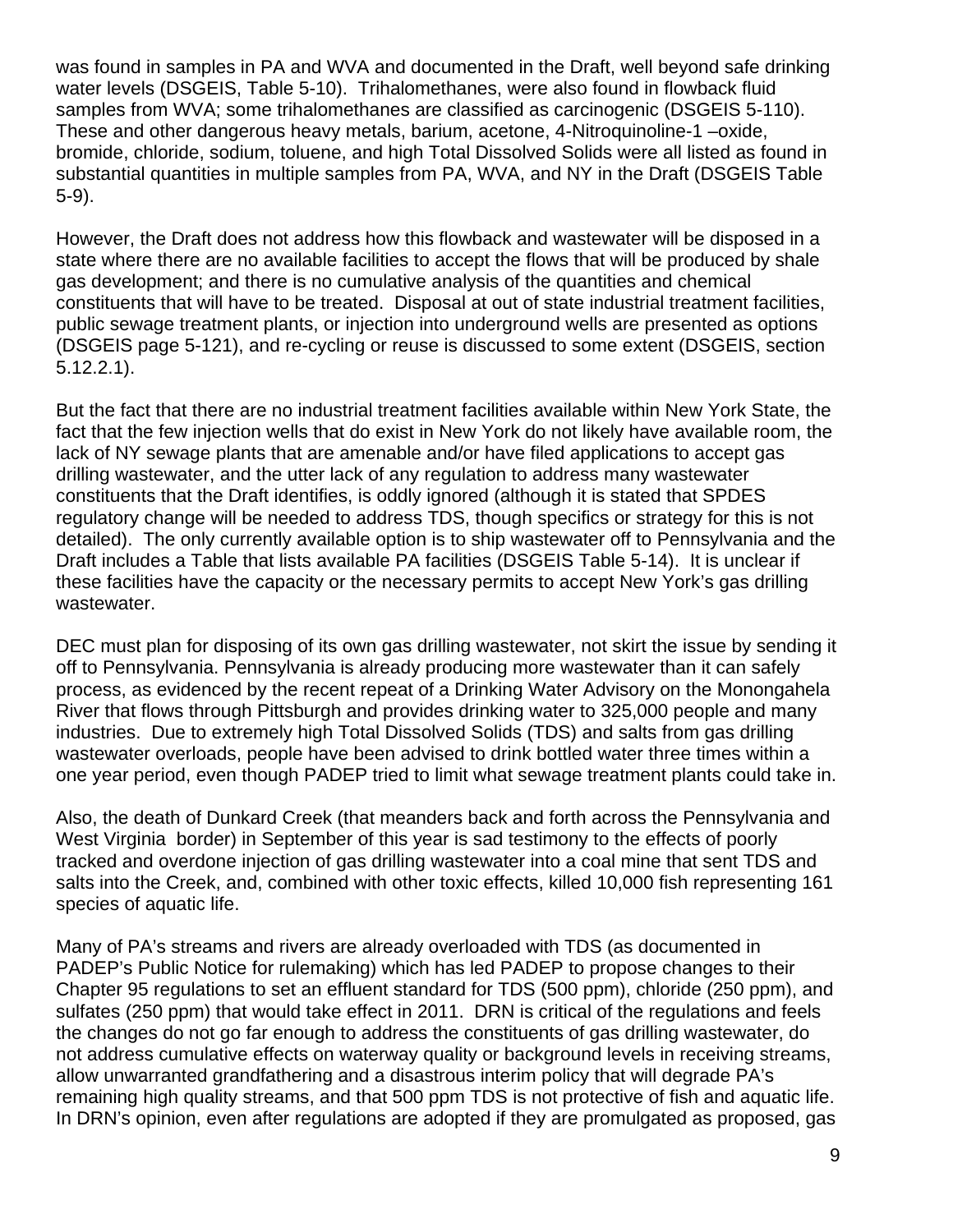was found in samples in PA and WVA and documented in the Draft, well beyond safe drinking water levels (DSGEIS, Table 5-10). Trihalomethanes, were also found in flowback fluid samples from WVA; some trihalomethanes are classified as carcinogenic (DSGEIS 5-110). These and other dangerous heavy metals, barium, acetone, 4-Nitroquinoline-1 –oxide, bromide, chloride, sodium, toluene, and high Total Dissolved Solids were all listed as found in substantial quantities in multiple samples from PA, WVA, and NY in the Draft (DSGEIS Table 5-9).

However, the Draft does not address how this flowback and wastewater will be disposed in a state where there are no available facilities to accept the flows that will be produced by shale gas development; and there is no cumulative analysis of the quantities and chemical constituents that will have to be treated. Disposal at out of state industrial treatment facilities, public sewage treatment plants, or injection into underground wells are presented as options (DSGEIS page 5-121), and re-cycling or reuse is discussed to some extent (DSGEIS, section 5.12.2.1).

But the fact that there are no industrial treatment facilities available within New York State, the fact that the few injection wells that do exist in New York do not likely have available room, the lack of NY sewage plants that are amenable and/or have filed applications to accept gas drilling wastewater, and the utter lack of any regulation to address many wastewater constituents that the Draft identifies, is oddly ignored (although it is stated that SPDES regulatory change will be needed to address TDS, though specifics or strategy for this is not detailed). The only currently available option is to ship wastewater off to Pennsylvania and the Draft includes a Table that lists available PA facilities (DSGEIS Table 5-14). It is unclear if these facilities have the capacity or the necessary permits to accept New York's gas drilling wastewater.

DEC must plan for disposing of its own gas drilling wastewater, not skirt the issue by sending it off to Pennsylvania. Pennsylvania is already producing more wastewater than it can safely process, as evidenced by the recent repeat of a Drinking Water Advisory on the Monongahela River that flows through Pittsburgh and provides drinking water to 325,000 people and many industries. Due to extremely high Total Dissolved Solids (TDS) and salts from gas drilling wastewater overloads, people have been advised to drink bottled water three times within a one year period, even though PADEP tried to limit what sewage treatment plants could take in.

Also, the death of Dunkard Creek (that meanders back and forth across the Pennsylvania and West Virginia border) in September of this year is sad testimony to the effects of poorly tracked and overdone injection of gas drilling wastewater into a coal mine that sent TDS and salts into the Creek, and, combined with other toxic effects, killed 10,000 fish representing 161 species of aquatic life.

Many of PA's streams and rivers are already overloaded with TDS (as documented in PADEP's Public Notice for rulemaking) which has led PADEP to propose changes to their Chapter 95 regulations to set an effluent standard for TDS (500 ppm), chloride (250 ppm), and sulfates (250 ppm) that would take effect in 2011. DRN is critical of the regulations and feels the changes do not go far enough to address the constituents of gas drilling wastewater, do not address cumulative effects on waterway quality or background levels in receiving streams, allow unwarranted grandfathering and a disastrous interim policy that will degrade PA's remaining high quality streams, and that 500 ppm TDS is not protective of fish and aquatic life. In DRN's opinion, even after regulations are adopted if they are promulgated as proposed, gas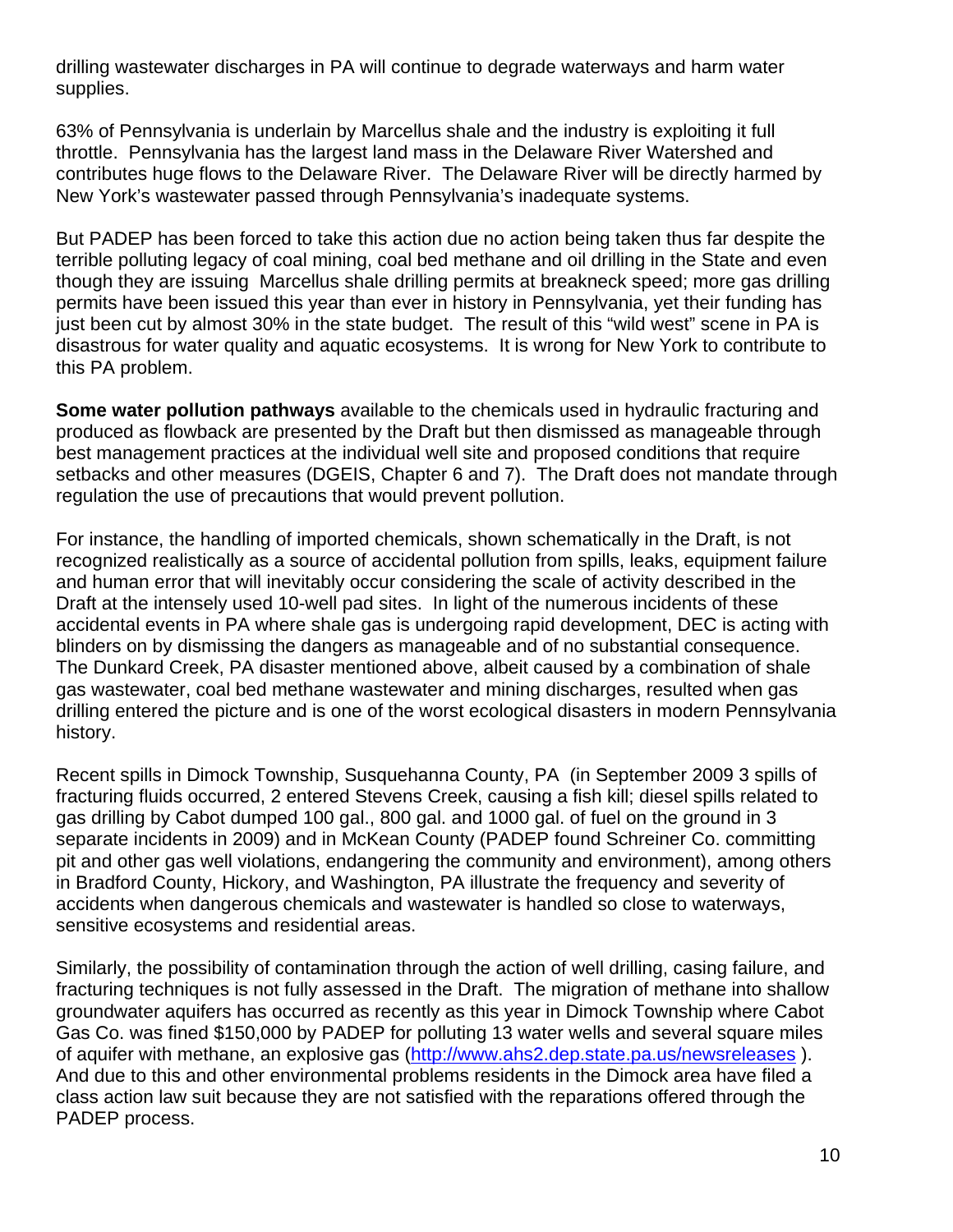drilling wastewater discharges in PA will continue to degrade waterways and harm water supplies.

63% of Pennsylvania is underlain by Marcellus shale and the industry is exploiting it full throttle. Pennsylvania has the largest land mass in the Delaware River Watershed and contributes huge flows to the Delaware River. The Delaware River will be directly harmed by New York's wastewater passed through Pennsylvania's inadequate systems.

But PADEP has been forced to take this action due no action being taken thus far despite the terrible polluting legacy of coal mining, coal bed methane and oil drilling in the State and even though they are issuing Marcellus shale drilling permits at breakneck speed; more gas drilling permits have been issued this year than ever in history in Pennsylvania, yet their funding has just been cut by almost 30% in the state budget. The result of this "wild west" scene in PA is disastrous for water quality and aquatic ecosystems. It is wrong for New York to contribute to this PA problem.

**Some water pollution pathways** available to the chemicals used in hydraulic fracturing and produced as flowback are presented by the Draft but then dismissed as manageable through best management practices at the individual well site and proposed conditions that require setbacks and other measures (DGEIS, Chapter 6 and 7). The Draft does not mandate through regulation the use of precautions that would prevent pollution.

For instance, the handling of imported chemicals, shown schematically in the Draft, is not recognized realistically as a source of accidental pollution from spills, leaks, equipment failure and human error that will inevitably occur considering the scale of activity described in the Draft at the intensely used 10-well pad sites. In light of the numerous incidents of these accidental events in PA where shale gas is undergoing rapid development, DEC is acting with blinders on by dismissing the dangers as manageable and of no substantial consequence. The Dunkard Creek, PA disaster mentioned above, albeit caused by a combination of shale gas wastewater, coal bed methane wastewater and mining discharges, resulted when gas drilling entered the picture and is one of the worst ecological disasters in modern Pennsylvania history.

Recent spills in Dimock Township, Susquehanna County, PA (in September 2009 3 spills of fracturing fluids occurred, 2 entered Stevens Creek, causing a fish kill; diesel spills related to gas drilling by Cabot dumped 100 gal., 800 gal. and 1000 gal. of fuel on the ground in 3 separate incidents in 2009) and in McKean County (PADEP found Schreiner Co. committing pit and other gas well violations, endangering the community and environment), among others in Bradford County, Hickory, and Washington, PA illustrate the frequency and severity of accidents when dangerous chemicals and wastewater is handled so close to waterways, sensitive ecosystems and residential areas.

Similarly, the possibility of contamination through the action of well drilling, casing failure, and fracturing techniques is not fully assessed in the Draft. The migration of methane into shallow groundwater aquifers has occurred as recently as this year in Dimock Township where Cabot Gas Co. was fined \$150,000 by PADEP for polluting 13 water wells and several square miles of aquifer with methane, an explosive gas (http://www.ahs2.dep.state.pa.us/newsreleases ). And due to this and other environmental problems residents in the Dimock area have filed a class action law suit because they are not satisfied with the reparations offered through the PADEP process.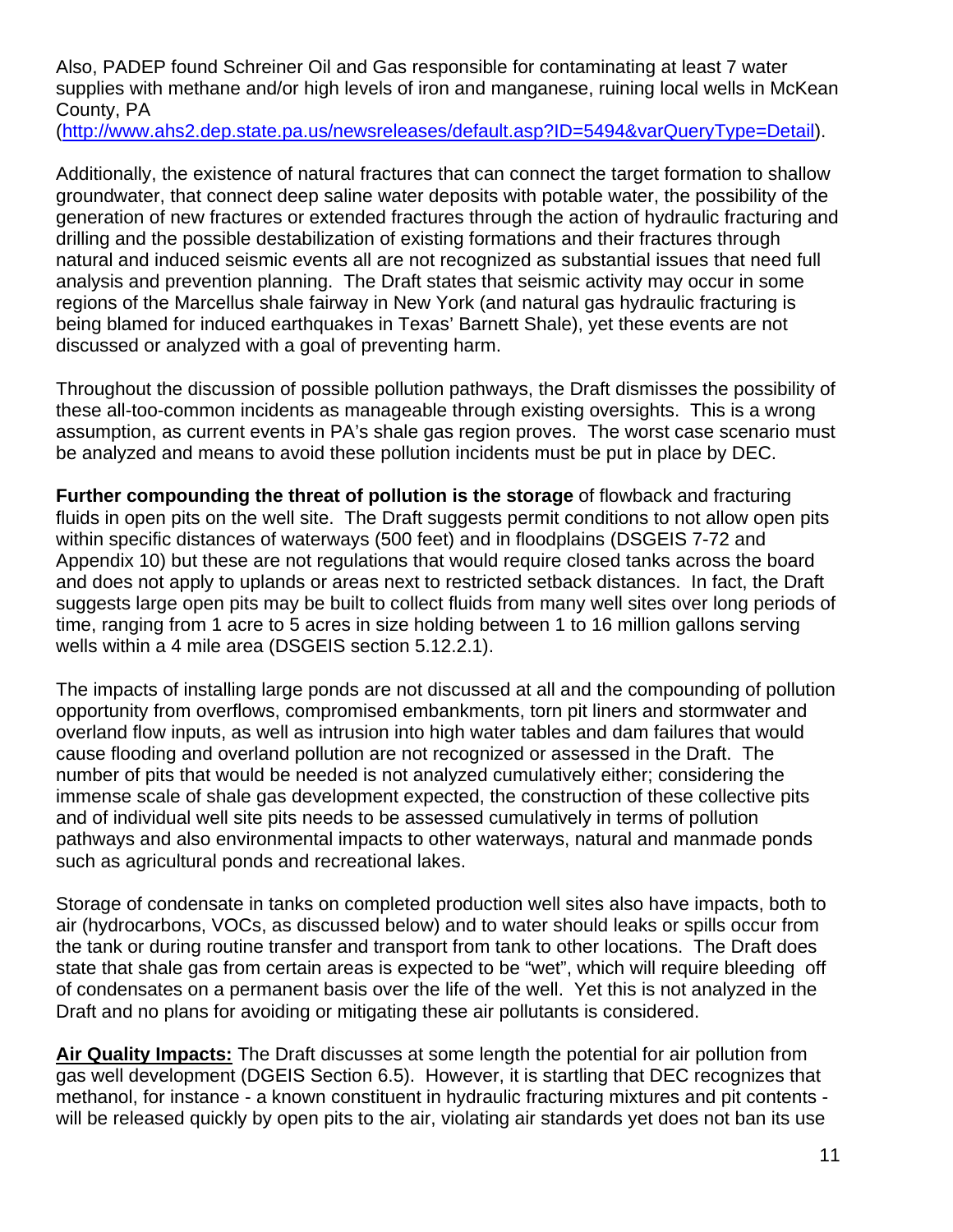Also, PADEP found Schreiner Oil and Gas responsible for contaminating at least 7 water supplies with methane and/or high levels of iron and manganese, ruining local wells in McKean County, PA

(http://www.ahs2.dep.state.pa.us/newsreleases/default.asp?ID=5494&varQueryType=Detail).

Additionally, the existence of natural fractures that can connect the target formation to shallow groundwater, that connect deep saline water deposits with potable water, the possibility of the generation of new fractures or extended fractures through the action of hydraulic fracturing and drilling and the possible destabilization of existing formations and their fractures through natural and induced seismic events all are not recognized as substantial issues that need full analysis and prevention planning. The Draft states that seismic activity may occur in some regions of the Marcellus shale fairway in New York (and natural gas hydraulic fracturing is being blamed for induced earthquakes in Texas' Barnett Shale), yet these events are not discussed or analyzed with a goal of preventing harm.

Throughout the discussion of possible pollution pathways, the Draft dismisses the possibility of these all-too-common incidents as manageable through existing oversights. This is a wrong assumption, as current events in PA's shale gas region proves. The worst case scenario must be analyzed and means to avoid these pollution incidents must be put in place by DEC.

**Further compounding the threat of pollution is the storage** of flowback and fracturing fluids in open pits on the well site. The Draft suggests permit conditions to not allow open pits within specific distances of waterways (500 feet) and in floodplains (DSGEIS 7-72 and Appendix 10) but these are not regulations that would require closed tanks across the board and does not apply to uplands or areas next to restricted setback distances. In fact, the Draft suggests large open pits may be built to collect fluids from many well sites over long periods of time, ranging from 1 acre to 5 acres in size holding between 1 to 16 million gallons serving wells within a 4 mile area (DSGEIS section 5.12.2.1).

The impacts of installing large ponds are not discussed at all and the compounding of pollution opportunity from overflows, compromised embankments, torn pit liners and stormwater and overland flow inputs, as well as intrusion into high water tables and dam failures that would cause flooding and overland pollution are not recognized or assessed in the Draft. The number of pits that would be needed is not analyzed cumulatively either; considering the immense scale of shale gas development expected, the construction of these collective pits and of individual well site pits needs to be assessed cumulatively in terms of pollution pathways and also environmental impacts to other waterways, natural and manmade ponds such as agricultural ponds and recreational lakes.

Storage of condensate in tanks on completed production well sites also have impacts, both to air (hydrocarbons, VOCs, as discussed below) and to water should leaks or spills occur from the tank or during routine transfer and transport from tank to other locations. The Draft does state that shale gas from certain areas is expected to be "wet", which will require bleeding off of condensates on a permanent basis over the life of the well. Yet this is not analyzed in the Draft and no plans for avoiding or mitigating these air pollutants is considered.

**Air Quality Impacts:** The Draft discusses at some length the potential for air pollution from gas well development (DGEIS Section 6.5). However, it is startling that DEC recognizes that methanol, for instance - a known constituent in hydraulic fracturing mixtures and pit contents will be released quickly by open pits to the air, violating air standards yet does not ban its use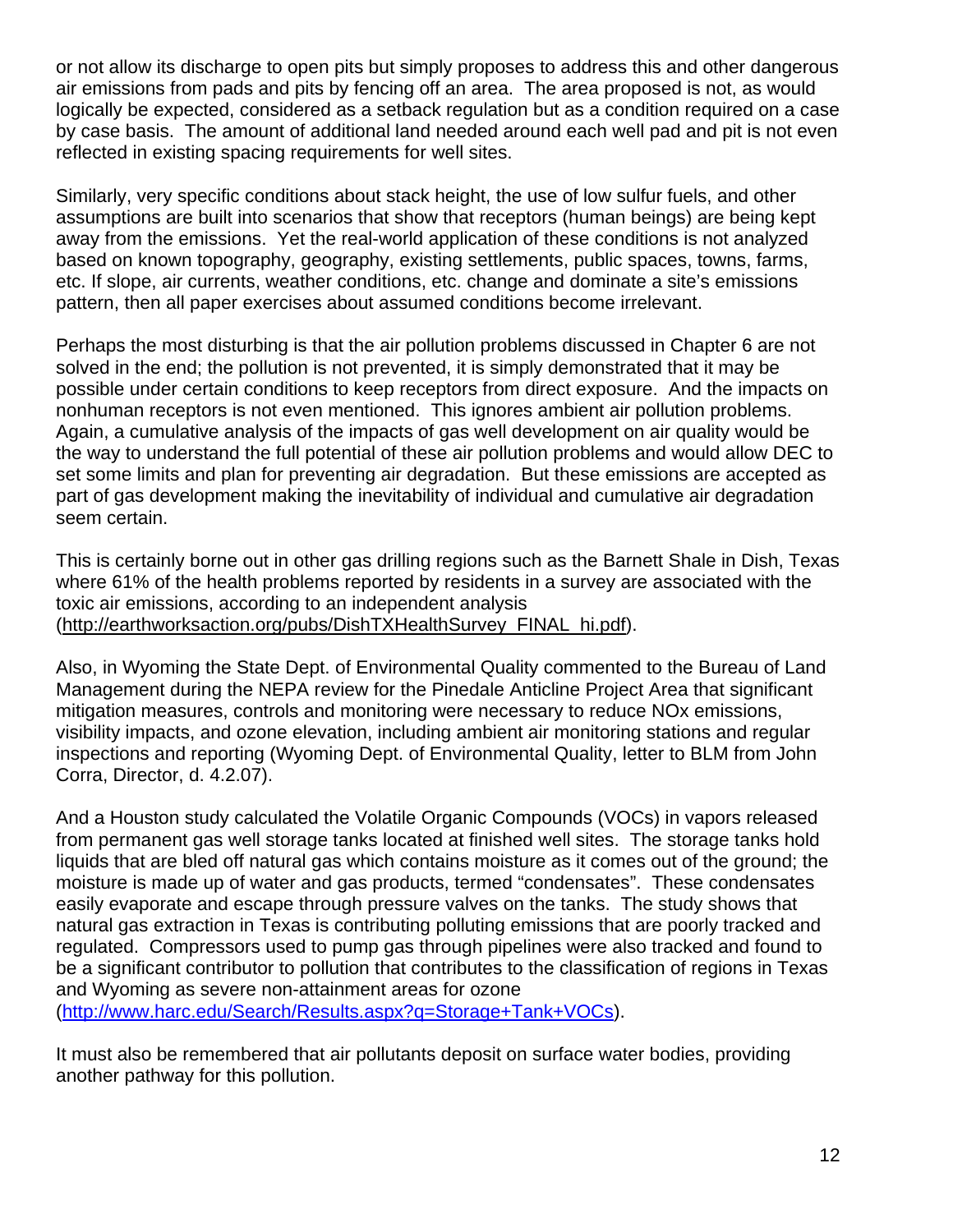or not allow its discharge to open pits but simply proposes to address this and other dangerous air emissions from pads and pits by fencing off an area. The area proposed is not, as would logically be expected, considered as a setback regulation but as a condition required on a case by case basis. The amount of additional land needed around each well pad and pit is not even reflected in existing spacing requirements for well sites.

Similarly, very specific conditions about stack height, the use of low sulfur fuels, and other assumptions are built into scenarios that show that receptors (human beings) are being kept away from the emissions. Yet the real-world application of these conditions is not analyzed based on known topography, geography, existing settlements, public spaces, towns, farms, etc. If slope, air currents, weather conditions, etc. change and dominate a site's emissions pattern, then all paper exercises about assumed conditions become irrelevant.

Perhaps the most disturbing is that the air pollution problems discussed in Chapter 6 are not solved in the end; the pollution is not prevented, it is simply demonstrated that it may be possible under certain conditions to keep receptors from direct exposure. And the impacts on nonhuman receptors is not even mentioned. This ignores ambient air pollution problems. Again, a cumulative analysis of the impacts of gas well development on air quality would be the way to understand the full potential of these air pollution problems and would allow DEC to set some limits and plan for preventing air degradation. But these emissions are accepted as part of gas development making the inevitability of individual and cumulative air degradation seem certain.

This is certainly borne out in other gas drilling regions such as the Barnett Shale in Dish, Texas where 61% of the health problems reported by residents in a survey are associated with the toxic air emissions, according to an independent analysis (http://earthworksaction.org/pubs/DishTXHealthSurvey\_FINAL\_hi.pdf).

Also, in Wyoming the State Dept. of Environmental Quality commented to the Bureau of Land Management during the NEPA review for the Pinedale Anticline Project Area that significant mitigation measures, controls and monitoring were necessary to reduce NOx emissions, visibility impacts, and ozone elevation, including ambient air monitoring stations and regular inspections and reporting (Wyoming Dept. of Environmental Quality, letter to BLM from John Corra, Director, d. 4.2.07).

And a Houston study calculated the Volatile Organic Compounds (VOCs) in vapors released from permanent gas well storage tanks located at finished well sites. The storage tanks hold liquids that are bled off natural gas which contains moisture as it comes out of the ground; the moisture is made up of water and gas products, termed "condensates". These condensates easily evaporate and escape through pressure valves on the tanks. The study shows that natural gas extraction in Texas is contributing polluting emissions that are poorly tracked and regulated. Compressors used to pump gas through pipelines were also tracked and found to be a significant contributor to pollution that contributes to the classification of regions in Texas and Wyoming as severe non-attainment areas for ozone (http://www.harc.edu/Search/Results.aspx?q=Storage+Tank+VOCs).

It must also be remembered that air pollutants deposit on surface water bodies, providing another pathway for this pollution.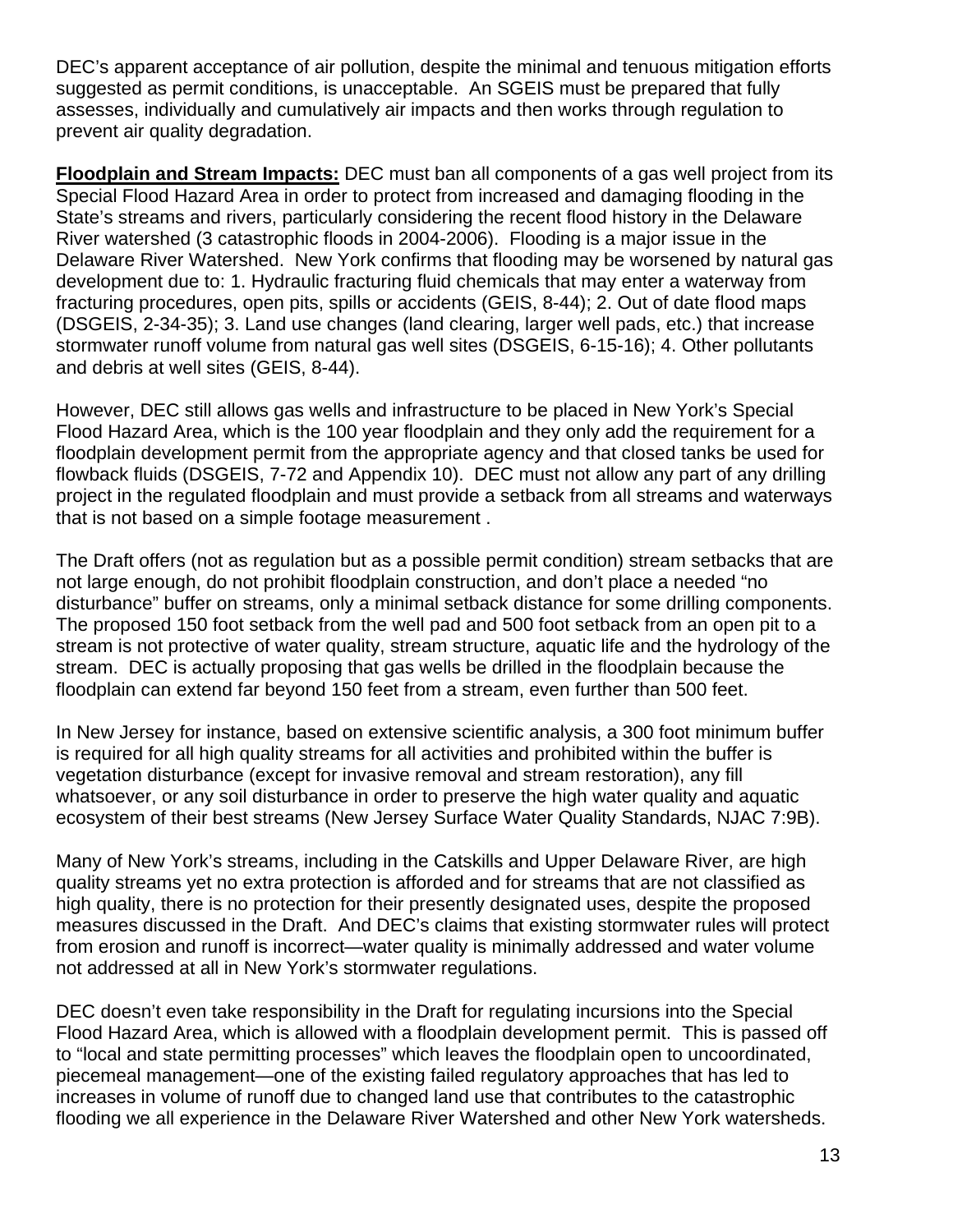DEC's apparent acceptance of air pollution, despite the minimal and tenuous mitigation efforts suggested as permit conditions, is unacceptable. An SGEIS must be prepared that fully assesses, individually and cumulatively air impacts and then works through regulation to prevent air quality degradation.

**Floodplain and Stream Impacts:** DEC must ban all components of a gas well project from its Special Flood Hazard Area in order to protect from increased and damaging flooding in the State's streams and rivers, particularly considering the recent flood history in the Delaware River watershed (3 catastrophic floods in 2004-2006). Flooding is a major issue in the Delaware River Watershed. New York confirms that flooding may be worsened by natural gas development due to: 1. Hydraulic fracturing fluid chemicals that may enter a waterway from fracturing procedures, open pits, spills or accidents (GEIS, 8-44); 2. Out of date flood maps (DSGEIS, 2-34-35); 3. Land use changes (land clearing, larger well pads, etc.) that increase stormwater runoff volume from natural gas well sites (DSGEIS, 6-15-16); 4. Other pollutants and debris at well sites (GEIS, 8-44).

However, DEC still allows gas wells and infrastructure to be placed in New York's Special Flood Hazard Area, which is the 100 year floodplain and they only add the requirement for a floodplain development permit from the appropriate agency and that closed tanks be used for flowback fluids (DSGEIS, 7-72 and Appendix 10). DEC must not allow any part of any drilling project in the regulated floodplain and must provide a setback from all streams and waterways that is not based on a simple footage measurement .

The Draft offers (not as regulation but as a possible permit condition) stream setbacks that are not large enough, do not prohibit floodplain construction, and don't place a needed "no disturbance" buffer on streams, only a minimal setback distance for some drilling components. The proposed 150 foot setback from the well pad and 500 foot setback from an open pit to a stream is not protective of water quality, stream structure, aquatic life and the hydrology of the stream. DEC is actually proposing that gas wells be drilled in the floodplain because the floodplain can extend far beyond 150 feet from a stream, even further than 500 feet.

In New Jersey for instance, based on extensive scientific analysis, a 300 foot minimum buffer is required for all high quality streams for all activities and prohibited within the buffer is vegetation disturbance (except for invasive removal and stream restoration), any fill whatsoever, or any soil disturbance in order to preserve the high water quality and aquatic ecosystem of their best streams (New Jersey Surface Water Quality Standards, NJAC 7:9B).

Many of New York's streams, including in the Catskills and Upper Delaware River, are high quality streams yet no extra protection is afforded and for streams that are not classified as high quality, there is no protection for their presently designated uses, despite the proposed measures discussed in the Draft. And DEC's claims that existing stormwater rules will protect from erosion and runoff is incorrect—water quality is minimally addressed and water volume not addressed at all in New York's stormwater regulations.

DEC doesn't even take responsibility in the Draft for regulating incursions into the Special Flood Hazard Area, which is allowed with a floodplain development permit. This is passed off to "local and state permitting processes" which leaves the floodplain open to uncoordinated, piecemeal management—one of the existing failed regulatory approaches that has led to increases in volume of runoff due to changed land use that contributes to the catastrophic flooding we all experience in the Delaware River Watershed and other New York watersheds.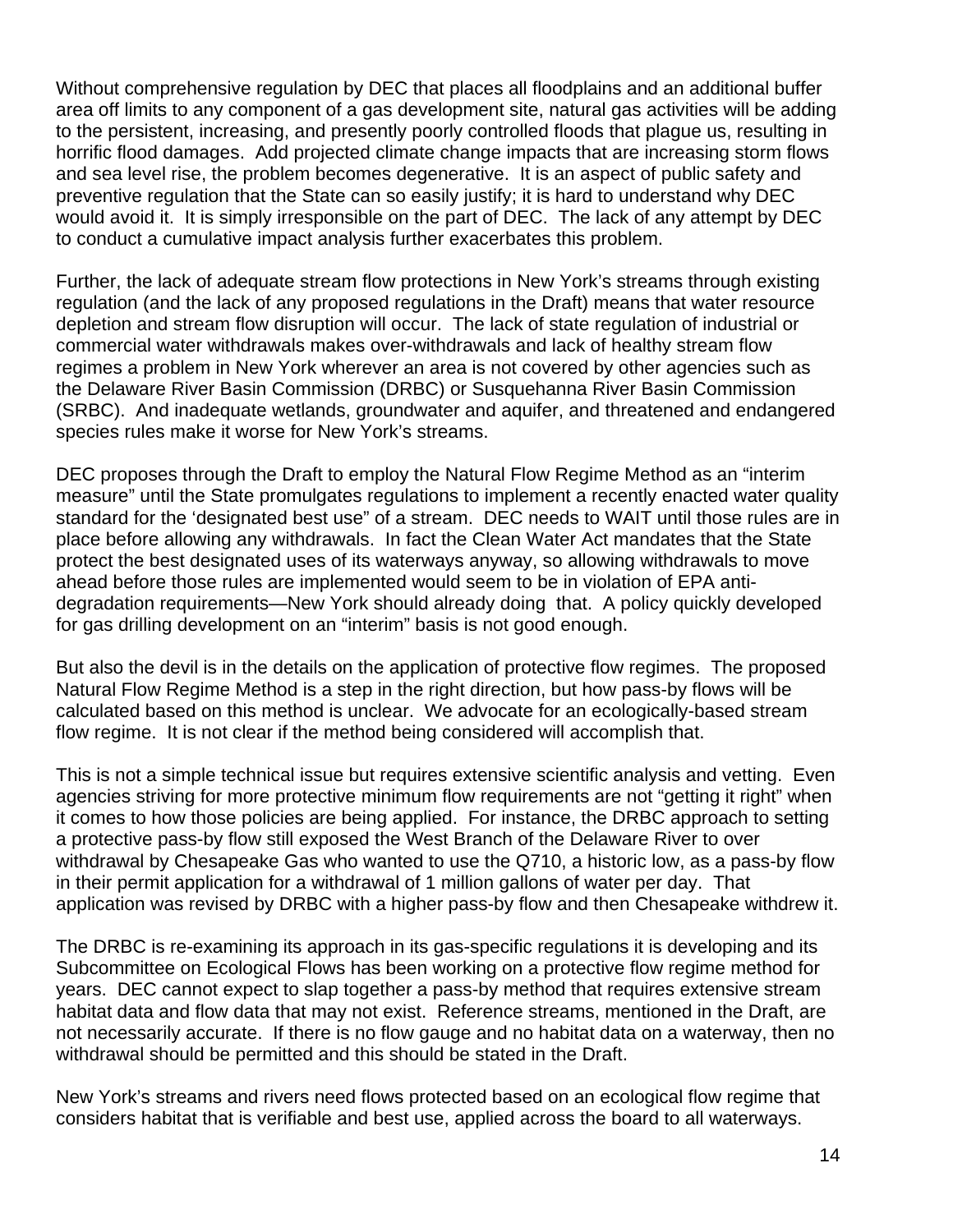Without comprehensive regulation by DEC that places all floodplains and an additional buffer area off limits to any component of a gas development site, natural gas activities will be adding to the persistent, increasing, and presently poorly controlled floods that plague us, resulting in horrific flood damages. Add projected climate change impacts that are increasing storm flows and sea level rise, the problem becomes degenerative. It is an aspect of public safety and preventive regulation that the State can so easily justify; it is hard to understand why DEC would avoid it. It is simply irresponsible on the part of DEC. The lack of any attempt by DEC to conduct a cumulative impact analysis further exacerbates this problem.

Further, the lack of adequate stream flow protections in New York's streams through existing regulation (and the lack of any proposed regulations in the Draft) means that water resource depletion and stream flow disruption will occur. The lack of state regulation of industrial or commercial water withdrawals makes over-withdrawals and lack of healthy stream flow regimes a problem in New York wherever an area is not covered by other agencies such as the Delaware River Basin Commission (DRBC) or Susquehanna River Basin Commission (SRBC). And inadequate wetlands, groundwater and aquifer, and threatened and endangered species rules make it worse for New York's streams.

DEC proposes through the Draft to employ the Natural Flow Regime Method as an "interim measure" until the State promulgates regulations to implement a recently enacted water quality standard for the 'designated best use" of a stream. DEC needs to WAIT until those rules are in place before allowing any withdrawals. In fact the Clean Water Act mandates that the State protect the best designated uses of its waterways anyway, so allowing withdrawals to move ahead before those rules are implemented would seem to be in violation of EPA antidegradation requirements—New York should already doing that. A policy quickly developed for gas drilling development on an "interim" basis is not good enough.

But also the devil is in the details on the application of protective flow regimes. The proposed Natural Flow Regime Method is a step in the right direction, but how pass-by flows will be calculated based on this method is unclear. We advocate for an ecologically-based stream flow regime. It is not clear if the method being considered will accomplish that.

This is not a simple technical issue but requires extensive scientific analysis and vetting. Even agencies striving for more protective minimum flow requirements are not "getting it right" when it comes to how those policies are being applied. For instance, the DRBC approach to setting a protective pass-by flow still exposed the West Branch of the Delaware River to over withdrawal by Chesapeake Gas who wanted to use the Q710, a historic low, as a pass-by flow in their permit application for a withdrawal of 1 million gallons of water per day. That application was revised by DRBC with a higher pass-by flow and then Chesapeake withdrew it.

The DRBC is re-examining its approach in its gas-specific regulations it is developing and its Subcommittee on Ecological Flows has been working on a protective flow regime method for years. DEC cannot expect to slap together a pass-by method that requires extensive stream habitat data and flow data that may not exist. Reference streams, mentioned in the Draft, are not necessarily accurate. If there is no flow gauge and no habitat data on a waterway, then no withdrawal should be permitted and this should be stated in the Draft.

New York's streams and rivers need flows protected based on an ecological flow regime that considers habitat that is verifiable and best use, applied across the board to all waterways.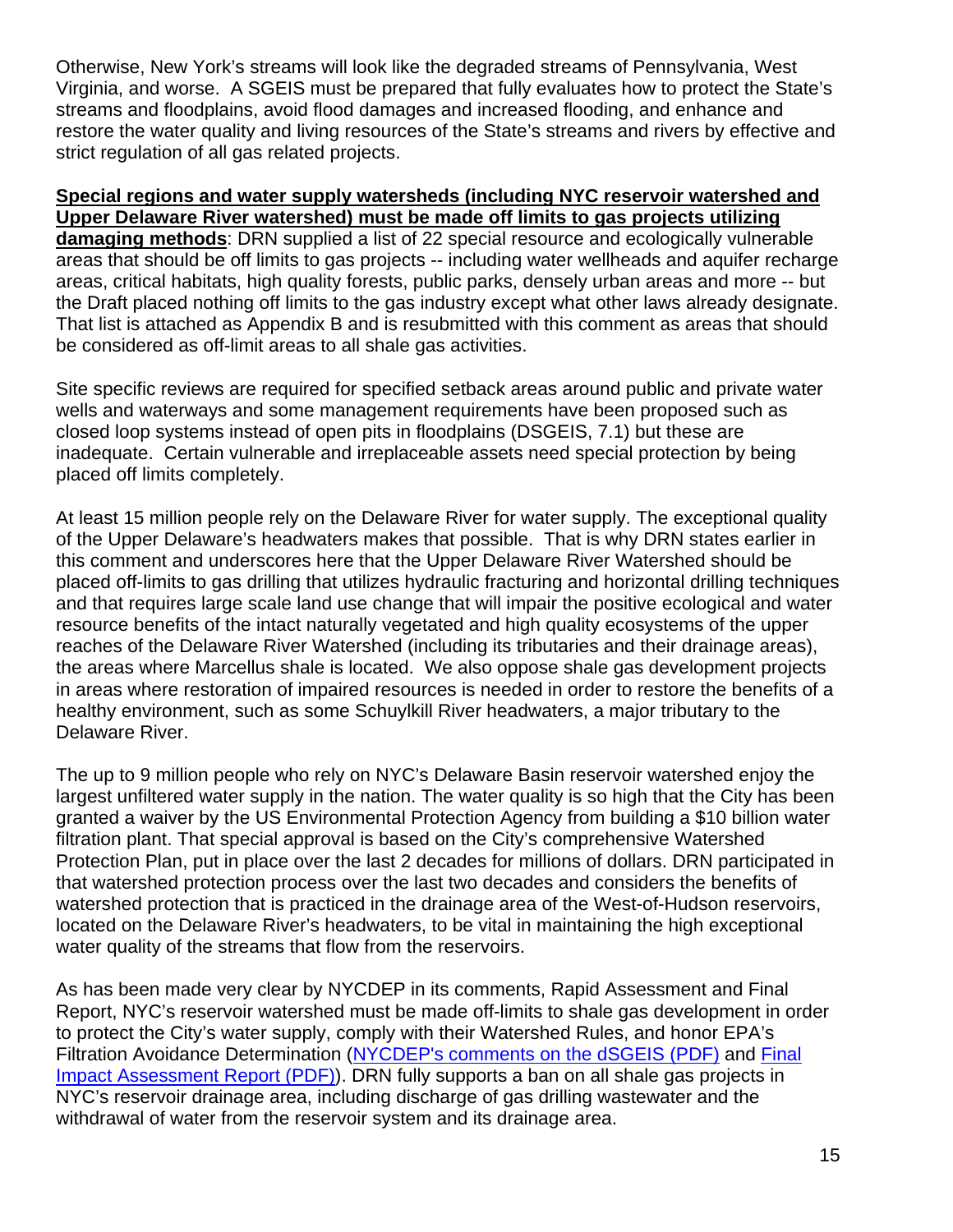Otherwise, New York's streams will look like the degraded streams of Pennsylvania, West Virginia, and worse. A SGEIS must be prepared that fully evaluates how to protect the State's streams and floodplains, avoid flood damages and increased flooding, and enhance and restore the water quality and living resources of the State's streams and rivers by effective and strict regulation of all gas related projects.

## **Special regions and water supply watersheds (including NYC reservoir watershed and Upper Delaware River watershed) must be made off limits to gas projects utilizing**

**damaging methods**: DRN supplied a list of 22 special resource and ecologically vulnerable areas that should be off limits to gas projects -- including water wellheads and aquifer recharge areas, critical habitats, high quality forests, public parks, densely urban areas and more -- but the Draft placed nothing off limits to the gas industry except what other laws already designate. That list is attached as Appendix B and is resubmitted with this comment as areas that should be considered as off-limit areas to all shale gas activities.

Site specific reviews are required for specified setback areas around public and private water wells and waterways and some management requirements have been proposed such as closed loop systems instead of open pits in floodplains (DSGEIS, 7.1) but these are inadequate. Certain vulnerable and irreplaceable assets need special protection by being placed off limits completely.

At least 15 million people rely on the Delaware River for water supply. The exceptional quality of the Upper Delaware's headwaters makes that possible. That is why DRN states earlier in this comment and underscores here that the Upper Delaware River Watershed should be placed off-limits to gas drilling that utilizes hydraulic fracturing and horizontal drilling techniques and that requires large scale land use change that will impair the positive ecological and water resource benefits of the intact naturally vegetated and high quality ecosystems of the upper reaches of the Delaware River Watershed (including its tributaries and their drainage areas), the areas where Marcellus shale is located. We also oppose shale gas development projects in areas where restoration of impaired resources is needed in order to restore the benefits of a healthy environment, such as some Schuylkill River headwaters, a major tributary to the Delaware River.

The up to 9 million people who rely on NYC's Delaware Basin reservoir watershed enjoy the largest unfiltered water supply in the nation. The water quality is so high that the City has been granted a waiver by the US Environmental Protection Agency from building a \$10 billion water filtration plant. That special approval is based on the City's comprehensive Watershed Protection Plan, put in place over the last 2 decades for millions of dollars. DRN participated in that watershed protection process over the last two decades and considers the benefits of watershed protection that is practiced in the drainage area of the West-of-Hudson reservoirs, located on the Delaware River's headwaters, to be vital in maintaining the high exceptional water quality of the streams that flow from the reservoirs.

As has been made very clear by NYCDEP in its comments, Rapid Assessment and Final Report, NYC's reservoir watershed must be made off-limits to shale gas development in order to protect the City's water supply, comply with their Watershed Rules, and honor EPA's Filtration Avoidance Determination (NYCDEP's comments on the dSGEIS (PDF) and Final Impact Assessment Report (PDF)). DRN fully supports a ban on all shale gas projects in NYC's reservoir drainage area, including discharge of gas drilling wastewater and the withdrawal of water from the reservoir system and its drainage area.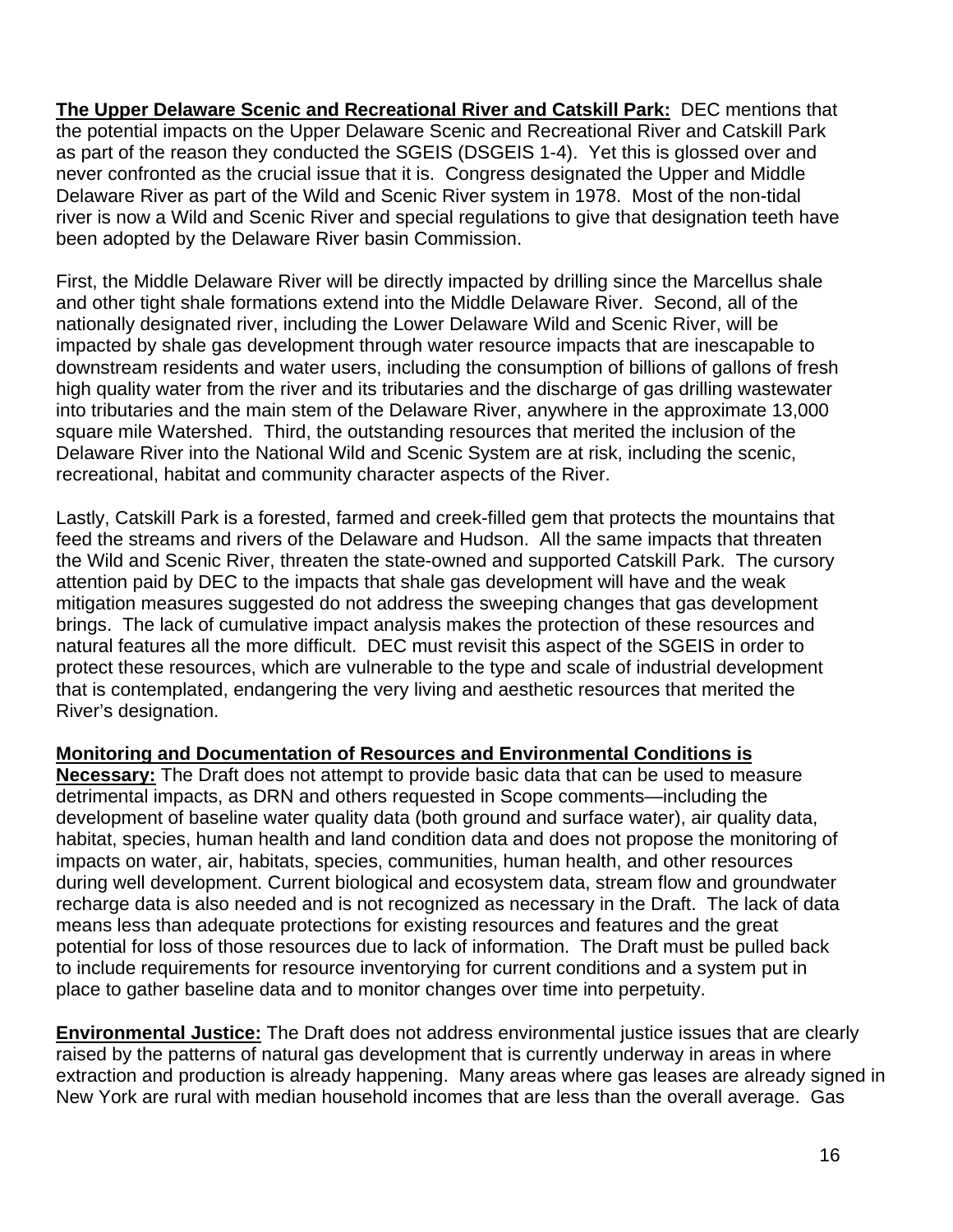**The Upper Delaware Scenic and Recreational River and Catskill Park:** DEC mentions that the potential impacts on the Upper Delaware Scenic and Recreational River and Catskill Park as part of the reason they conducted the SGEIS (DSGEIS 1-4). Yet this is glossed over and never confronted as the crucial issue that it is. Congress designated the Upper and Middle Delaware River as part of the Wild and Scenic River system in 1978. Most of the non-tidal river is now a Wild and Scenic River and special regulations to give that designation teeth have been adopted by the Delaware River basin Commission.

First, the Middle Delaware River will be directly impacted by drilling since the Marcellus shale and other tight shale formations extend into the Middle Delaware River. Second, all of the nationally designated river, including the Lower Delaware Wild and Scenic River, will be impacted by shale gas development through water resource impacts that are inescapable to downstream residents and water users, including the consumption of billions of gallons of fresh high quality water from the river and its tributaries and the discharge of gas drilling wastewater into tributaries and the main stem of the Delaware River, anywhere in the approximate 13,000 square mile Watershed. Third, the outstanding resources that merited the inclusion of the Delaware River into the National Wild and Scenic System are at risk, including the scenic, recreational, habitat and community character aspects of the River.

Lastly, Catskill Park is a forested, farmed and creek-filled gem that protects the mountains that feed the streams and rivers of the Delaware and Hudson. All the same impacts that threaten the Wild and Scenic River, threaten the state-owned and supported Catskill Park. The cursory attention paid by DEC to the impacts that shale gas development will have and the weak mitigation measures suggested do not address the sweeping changes that gas development brings. The lack of cumulative impact analysis makes the protection of these resources and natural features all the more difficult. DEC must revisit this aspect of the SGEIS in order to protect these resources, which are vulnerable to the type and scale of industrial development that is contemplated, endangering the very living and aesthetic resources that merited the River's designation.

## **Monitoring and Documentation of Resources and Environmental Conditions is**

**Necessary:** The Draft does not attempt to provide basic data that can be used to measure detrimental impacts, as DRN and others requested in Scope comments—including the development of baseline water quality data (both ground and surface water), air quality data, habitat, species, human health and land condition data and does not propose the monitoring of impacts on water, air, habitats, species, communities, human health, and other resources during well development. Current biological and ecosystem data, stream flow and groundwater recharge data is also needed and is not recognized as necessary in the Draft. The lack of data means less than adequate protections for existing resources and features and the great potential for loss of those resources due to lack of information. The Draft must be pulled back to include requirements for resource inventorying for current conditions and a system put in place to gather baseline data and to monitor changes over time into perpetuity.

**Environmental Justice:** The Draft does not address environmental justice issues that are clearly raised by the patterns of natural gas development that is currently underway in areas in where extraction and production is already happening. Many areas where gas leases are already signed in New York are rural with median household incomes that are less than the overall average. Gas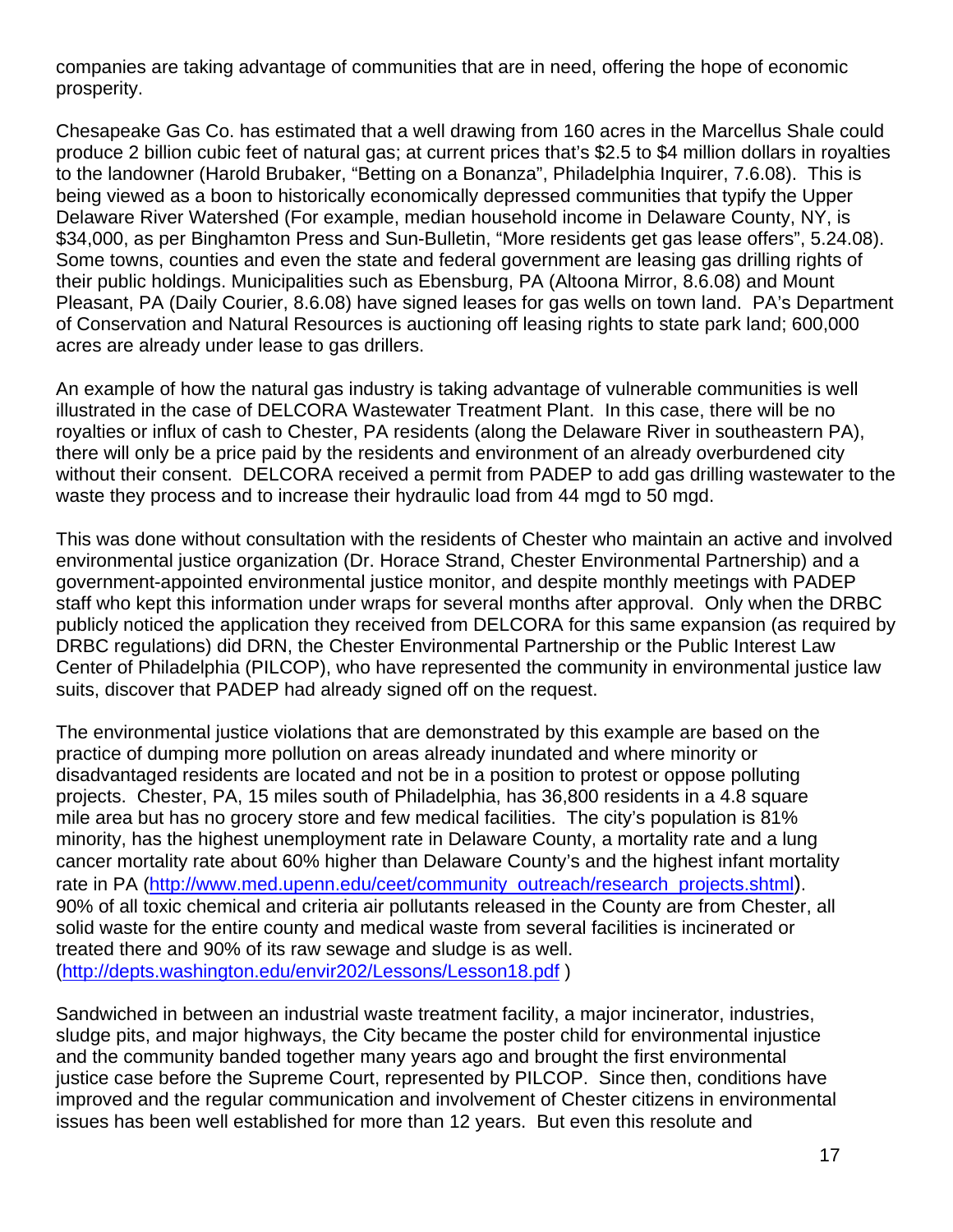companies are taking advantage of communities that are in need, offering the hope of economic prosperity.

Chesapeake Gas Co. has estimated that a well drawing from 160 acres in the Marcellus Shale could produce 2 billion cubic feet of natural gas; at current prices that's \$2.5 to \$4 million dollars in royalties to the landowner (Harold Brubaker, "Betting on a Bonanza", Philadelphia Inquirer, 7.6.08). This is being viewed as a boon to historically economically depressed communities that typify the Upper Delaware River Watershed (For example, median household income in Delaware County, NY, is \$34,000, as per Binghamton Press and Sun-Bulletin, "More residents get gas lease offers", 5.24.08). Some towns, counties and even the state and federal government are leasing gas drilling rights of their public holdings. Municipalities such as Ebensburg, PA (Altoona Mirror, 8.6.08) and Mount Pleasant, PA (Daily Courier, 8.6.08) have signed leases for gas wells on town land. PA's Department of Conservation and Natural Resources is auctioning off leasing rights to state park land; 600,000 acres are already under lease to gas drillers.

An example of how the natural gas industry is taking advantage of vulnerable communities is well illustrated in the case of DELCORA Wastewater Treatment Plant. In this case, there will be no royalties or influx of cash to Chester, PA residents (along the Delaware River in southeastern PA), there will only be a price paid by the residents and environment of an already overburdened city without their consent. DELCORA received a permit from PADEP to add gas drilling wastewater to the waste they process and to increase their hydraulic load from 44 mgd to 50 mgd.

This was done without consultation with the residents of Chester who maintain an active and involved environmental justice organization (Dr. Horace Strand, Chester Environmental Partnership) and a government-appointed environmental justice monitor, and despite monthly meetings with PADEP staff who kept this information under wraps for several months after approval. Only when the DRBC publicly noticed the application they received from DELCORA for this same expansion (as required by DRBC regulations) did DRN, the Chester Environmental Partnership or the Public Interest Law Center of Philadelphia (PILCOP), who have represented the community in environmental justice law suits, discover that PADEP had already signed off on the request.

The environmental justice violations that are demonstrated by this example are based on the practice of dumping more pollution on areas already inundated and where minority or disadvantaged residents are located and not be in a position to protest or oppose polluting projects. Chester, PA, 15 miles south of Philadelphia, has 36,800 residents in a 4.8 square mile area but has no grocery store and few medical facilities. The city's population is 81% minority, has the highest unemployment rate in Delaware County, a mortality rate and a lung cancer mortality rate about 60% higher than Delaware County's and the highest infant mortality rate in PA (http://www.med.upenn.edu/ceet/community\_outreach/research\_projects.shtml). 90% of all toxic chemical and criteria air pollutants released in the County are from Chester, all solid waste for the entire county and medical waste from several facilities is incinerated or treated there and 90% of its raw sewage and sludge is as well. (http://depts.washington.edu/envir202/Lessons/Lesson18.pdf )

Sandwiched in between an industrial waste treatment facility, a major incinerator, industries, sludge pits, and major highways, the City became the poster child for environmental injustice and the community banded together many years ago and brought the first environmental justice case before the Supreme Court, represented by PILCOP. Since then, conditions have improved and the regular communication and involvement of Chester citizens in environmental issues has been well established for more than 12 years. But even this resolute and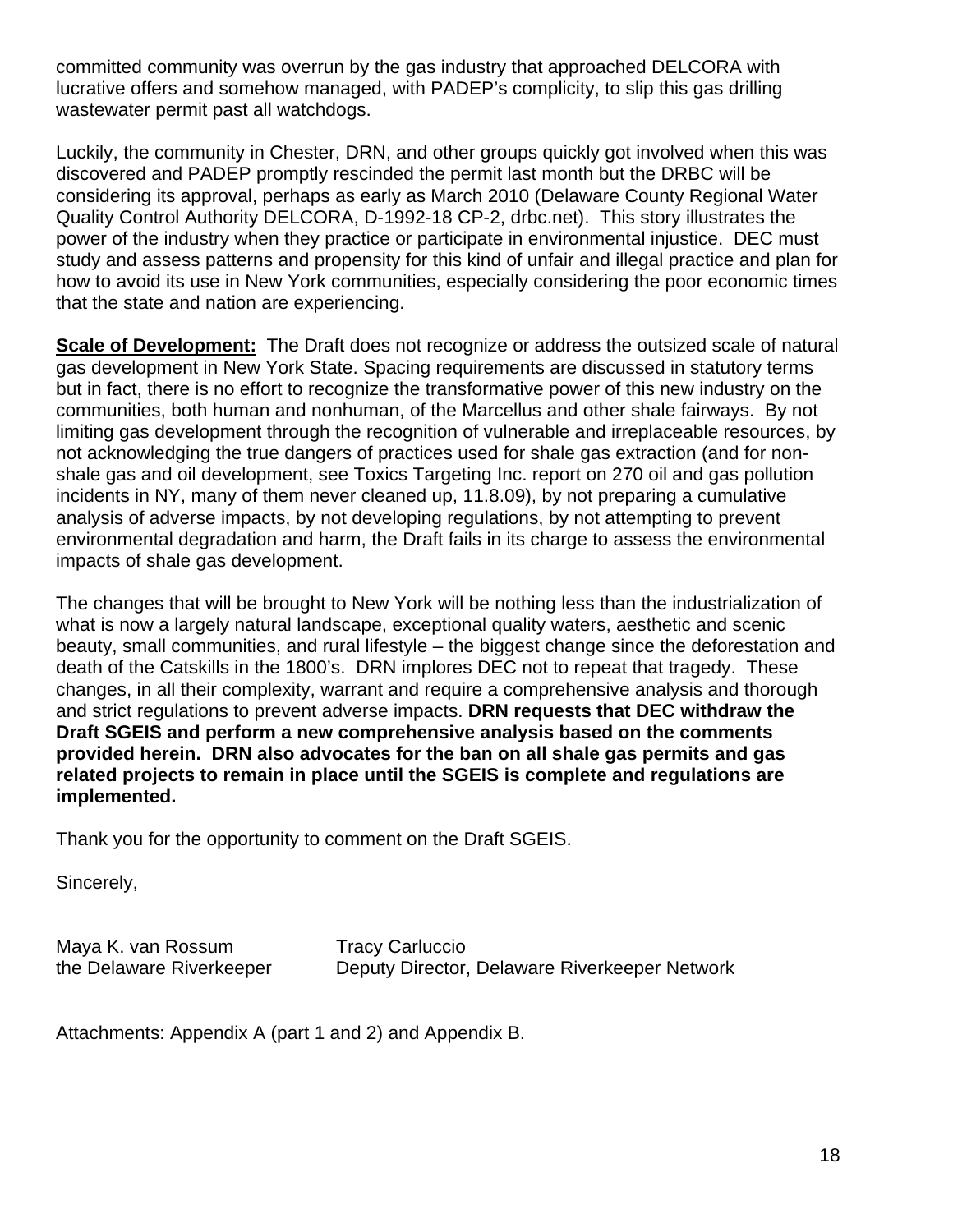committed community was overrun by the gas industry that approached DELCORA with lucrative offers and somehow managed, with PADEP's complicity, to slip this gas drilling wastewater permit past all watchdogs.

Luckily, the community in Chester, DRN, and other groups quickly got involved when this was discovered and PADEP promptly rescinded the permit last month but the DRBC will be considering its approval, perhaps as early as March 2010 (Delaware County Regional Water Quality Control Authority DELCORA, D-1992-18 CP-2, drbc.net). This story illustrates the power of the industry when they practice or participate in environmental injustice. DEC must study and assess patterns and propensity for this kind of unfair and illegal practice and plan for how to avoid its use in New York communities, especially considering the poor economic times that the state and nation are experiencing.

**Scale of Development:** The Draft does not recognize or address the outsized scale of natural gas development in New York State. Spacing requirements are discussed in statutory terms but in fact, there is no effort to recognize the transformative power of this new industry on the communities, both human and nonhuman, of the Marcellus and other shale fairways. By not limiting gas development through the recognition of vulnerable and irreplaceable resources, by not acknowledging the true dangers of practices used for shale gas extraction (and for nonshale gas and oil development, see Toxics Targeting Inc. report on 270 oil and gas pollution incidents in NY, many of them never cleaned up, 11.8.09), by not preparing a cumulative analysis of adverse impacts, by not developing regulations, by not attempting to prevent environmental degradation and harm, the Draft fails in its charge to assess the environmental impacts of shale gas development.

The changes that will be brought to New York will be nothing less than the industrialization of what is now a largely natural landscape, exceptional quality waters, aesthetic and scenic beauty, small communities, and rural lifestyle – the biggest change since the deforestation and death of the Catskills in the 1800's. DRN implores DEC not to repeat that tragedy. These changes, in all their complexity, warrant and require a comprehensive analysis and thorough and strict regulations to prevent adverse impacts. **DRN requests that DEC withdraw the Draft SGEIS and perform a new comprehensive analysis based on the comments provided herein. DRN also advocates for the ban on all shale gas permits and gas related projects to remain in place until the SGEIS is complete and regulations are implemented.** 

Thank you for the opportunity to comment on the Draft SGEIS.

Sincerely,

Maya K. van Rossum Tracy Carluccio

the Delaware Riverkeeper Deputy Director, Delaware Riverkeeper Network

Attachments: Appendix A (part 1 and 2) and Appendix B.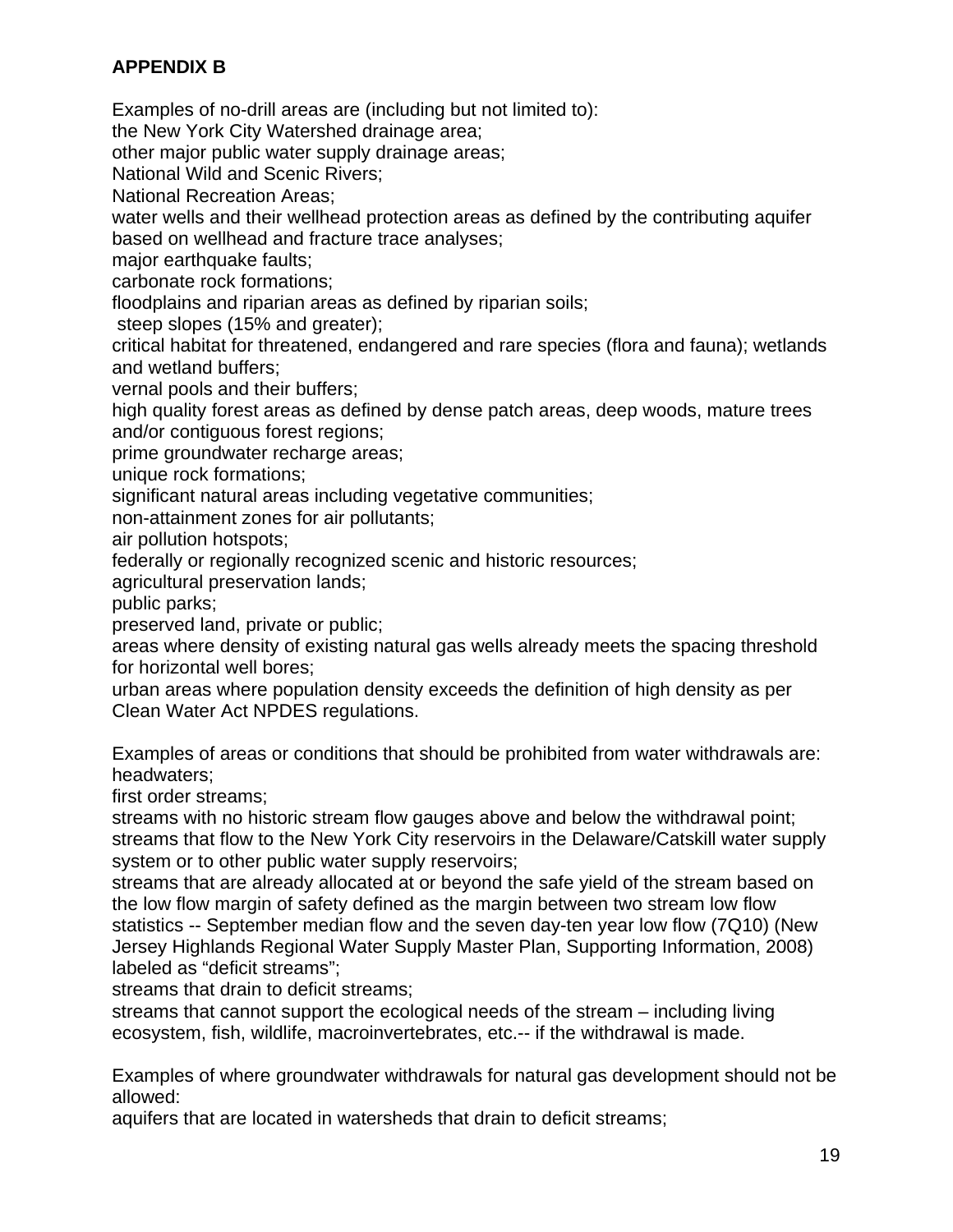# **APPENDIX B**

Examples of no-drill areas are (including but not limited to):

the New York City Watershed drainage area;

other major public water supply drainage areas;

National Wild and Scenic Rivers;

National Recreation Areas;

water wells and their wellhead protection areas as defined by the contributing aquifer based on wellhead and fracture trace analyses;

major earthquake faults;

carbonate rock formations;

floodplains and riparian areas as defined by riparian soils;

steep slopes (15% and greater);

critical habitat for threatened, endangered and rare species (flora and fauna); wetlands and wetland buffers;

vernal pools and their buffers;

high quality forest areas as defined by dense patch areas, deep woods, mature trees and/or contiguous forest regions;

prime groundwater recharge areas;

unique rock formations;

significant natural areas including vegetative communities;

non-attainment zones for air pollutants;

air pollution hotspots;

federally or regionally recognized scenic and historic resources;

agricultural preservation lands;

public parks;

preserved land, private or public;

areas where density of existing natural gas wells already meets the spacing threshold for horizontal well bores;

urban areas where population density exceeds the definition of high density as per Clean Water Act NPDES regulations.

Examples of areas or conditions that should be prohibited from water withdrawals are: headwaters;

first order streams;

streams with no historic stream flow gauges above and below the withdrawal point; streams that flow to the New York City reservoirs in the Delaware/Catskill water supply system or to other public water supply reservoirs;

streams that are already allocated at or beyond the safe yield of the stream based on the low flow margin of safety defined as the margin between two stream low flow statistics -- September median flow and the seven day-ten year low flow (7Q10) (New Jersey Highlands Regional Water Supply Master Plan, Supporting Information, 2008) labeled as "deficit streams";

streams that drain to deficit streams;

streams that cannot support the ecological needs of the stream – including living ecosystem, fish, wildlife, macroinvertebrates, etc.-- if the withdrawal is made.

Examples of where groundwater withdrawals for natural gas development should not be allowed:

aquifers that are located in watersheds that drain to deficit streams;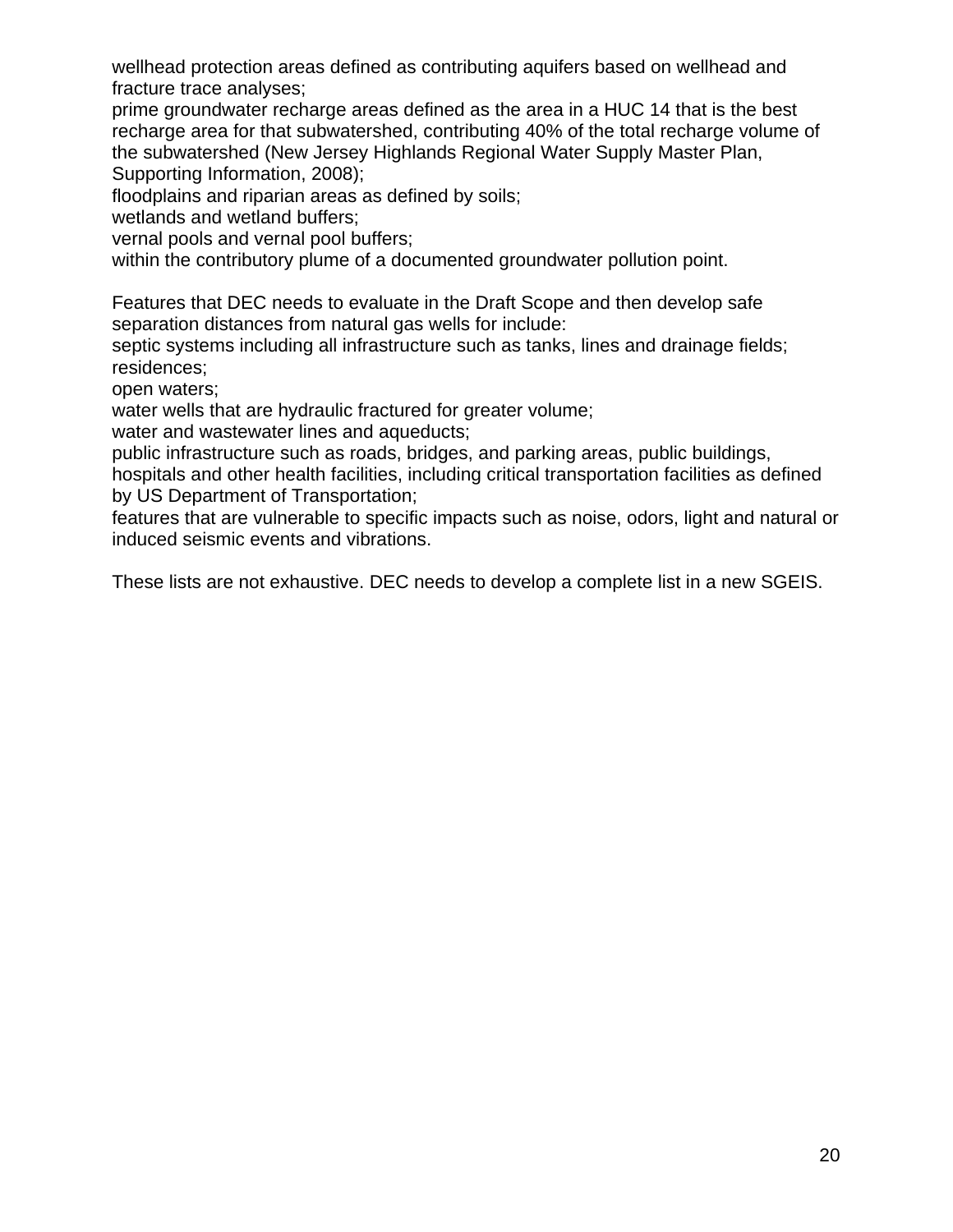wellhead protection areas defined as contributing aquifers based on wellhead and fracture trace analyses;

prime groundwater recharge areas defined as the area in a HUC 14 that is the best recharge area for that subwatershed, contributing 40% of the total recharge volume of the subwatershed (New Jersey Highlands Regional Water Supply Master Plan, Supporting Information, 2008);

floodplains and riparian areas as defined by soils;

wetlands and wetland buffers;

vernal pools and vernal pool buffers;

within the contributory plume of a documented groundwater pollution point.

Features that DEC needs to evaluate in the Draft Scope and then develop safe separation distances from natural gas wells for include:

septic systems including all infrastructure such as tanks, lines and drainage fields; residences;

open waters;

water wells that are hydraulic fractured for greater volume;

water and wastewater lines and aqueducts;

public infrastructure such as roads, bridges, and parking areas, public buildings,

hospitals and other health facilities, including critical transportation facilities as defined by US Department of Transportation;

features that are vulnerable to specific impacts such as noise, odors, light and natural or induced seismic events and vibrations.

These lists are not exhaustive. DEC needs to develop a complete list in a new SGEIS.